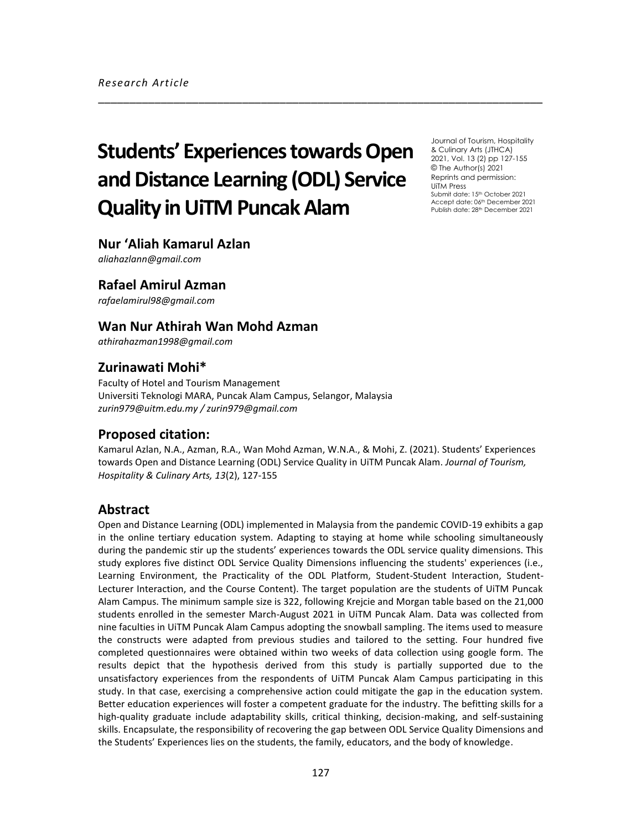# **Students' Experiences towards Open and Distance Learning (ODL) Service Quality in UiTM Puncak Alam**

Journal of Tourism, Hospitality & Culinary Arts (JTHCA) 2021, Vol. 13 (2) pp 127-155 © The Author(s) 2021 Reprints and permission: UiTM Press Submit date: 15th October 2021 Accept date: 06th December 2021 Publish date: 28<sup>th</sup> December 2021

# **Nur 'Aliah Kamarul Azlan**

*aliahazlann@gmail.com*

# **Rafael Amirul Azman**

*rafaelamirul98@gmail.com*

# **Wan Nur Athirah Wan Mohd Azman**

*athirahazman1998@gmail.com*

# **Zurinawati Mohi\***

Faculty of Hotel and Tourism Management Universiti Teknologi MARA, Puncak Alam Campus, Selangor, Malaysia *zurin979@uitm.edu.my / zurin979@gmail.com*

## **Proposed citation:**

Kamarul Azlan, N.A., Azman, R.A., Wan Mohd Azman, W.N.A., & Mohi, Z. (2021). Students' Experiences towards Open and Distance Learning (ODL) Service Quality in UiTM Puncak Alam. *Journal of Tourism, Hospitality & Culinary Arts, 13*(2), 127-155

\_\_\_\_\_\_\_\_\_\_\_\_\_\_\_\_\_\_\_\_\_\_\_\_\_\_\_\_\_\_\_\_\_\_\_\_\_\_\_\_\_\_\_\_\_\_\_\_\_\_\_\_\_\_\_\_\_\_\_\_\_\_\_\_\_\_\_\_\_\_\_

# **Abstract**

Open and Distance Learning (ODL) implemented in Malaysia from the pandemic COVID-19 exhibits a gap in the online tertiary education system. Adapting to staying at home while schooling simultaneously during the pandemic stir up the students' experiences towards the ODL service quality dimensions. This study explores five distinct ODL Service Quality Dimensions influencing the students' experiences (i.e., Learning Environment, the Practicality of the ODL Platform, Student-Student Interaction, Student-Lecturer Interaction, and the Course Content). The target population are the students of UiTM Puncak Alam Campus. The minimum sample size is 322, following Krejcie and Morgan table based on the 21,000 students enrolled in the semester March-August 2021 in UiTM Puncak Alam. Data was collected from nine faculties in UiTM Puncak Alam Campus adopting the snowball sampling. The items used to measure the constructs were adapted from previous studies and tailored to the setting. Four hundred five completed questionnaires were obtained within two weeks of data collection using google form. The results depict that the hypothesis derived from this study is partially supported due to the unsatisfactory experiences from the respondents of UiTM Puncak Alam Campus participating in this study. In that case, exercising a comprehensive action could mitigate the gap in the education system. Better education experiences will foster a competent graduate for the industry. The befitting skills for a high-quality graduate include adaptability skills, critical thinking, decision-making, and self-sustaining skills. Encapsulate, the responsibility of recovering the gap between ODL Service Quality Dimensions and the Students' Experiences lies on the students, the family, educators, and the body of knowledge.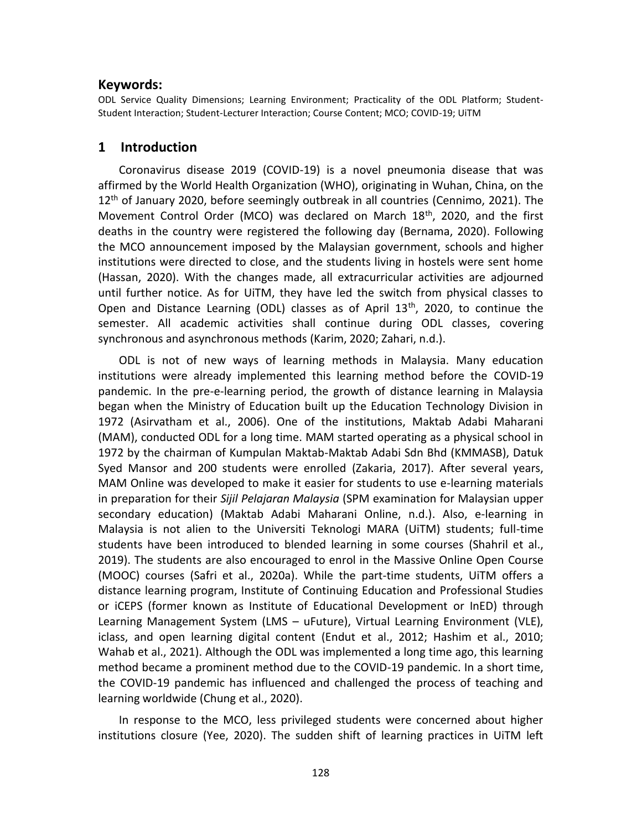## **Keywords:**

ODL Service Quality Dimensions; Learning Environment; Practicality of the ODL Platform; Student-Student Interaction; Student-Lecturer Interaction; Course Content; MCO; COVID-19; UiTM

## **1 Introduction**

Coronavirus disease 2019 (COVID-19) is a novel pneumonia disease that was affirmed by the World Health Organization (WHO), originating in Wuhan, China, on the  $12<sup>th</sup>$  of January 2020, before seemingly outbreak in all countries (Cennimo, 2021). The Movement Control Order (MCO) was declared on March 18th, 2020, and the first deaths in the country were registered the following day (Bernama, 2020). Following the MCO announcement imposed by the Malaysian government, schools and higher institutions were directed to close, and the students living in hostels were sent home (Hassan, 2020). With the changes made, all extracurricular activities are adjourned until further notice. As for UiTM, they have led the switch from physical classes to Open and Distance Learning (ODL) classes as of April  $13<sup>th</sup>$ , 2020, to continue the semester. All academic activities shall continue during ODL classes, covering synchronous and asynchronous methods (Karim, 2020; Zahari, n.d.).

ODL is not of new ways of learning methods in Malaysia. Many education institutions were already implemented this learning method before the COVID-19 pandemic. In the pre-e-learning period, the growth of distance learning in Malaysia began when the Ministry of Education built up the Education Technology Division in 1972 (Asirvatham et al., 2006). One of the institutions, Maktab Adabi Maharani (MAM), conducted ODL for a long time. MAM started operating as a physical school in 1972 by the chairman of Kumpulan Maktab-Maktab Adabi Sdn Bhd (KMMASB), Datuk Syed Mansor and 200 students were enrolled (Zakaria, 2017). After several years, MAM Online was developed to make it easier for students to use e-learning materials in preparation for their *Sijil Pelajaran Malaysia* (SPM examination for Malaysian upper secondary education) (Maktab Adabi Maharani Online, n.d.). Also, e-learning in Malaysia is not alien to the Universiti Teknologi MARA (UiTM) students; full-time students have been introduced to blended learning in some courses (Shahril et al., 2019). The students are also encouraged to enrol in the Massive Online Open Course (MOOC) courses (Safri et al., 2020a). While the part-time students, UiTM offers a distance learning program, Institute of Continuing Education and Professional Studies or iCEPS (former known as Institute of Educational Development or InED) through Learning Management System (LMS – uFuture), Virtual Learning Environment (VLE), iclass, and open learning digital content (Endut et al., 2012; Hashim et al., 2010; Wahab et al., 2021). Although the ODL was implemented a long time ago, this learning method became a prominent method due to the COVID-19 pandemic. In a short time, the COVID-19 pandemic has influenced and challenged the process of teaching and learning worldwide (Chung et al., 2020).

In response to the MCO, less privileged students were concerned about higher institutions closure (Yee, 2020). The sudden shift of learning practices in UiTM left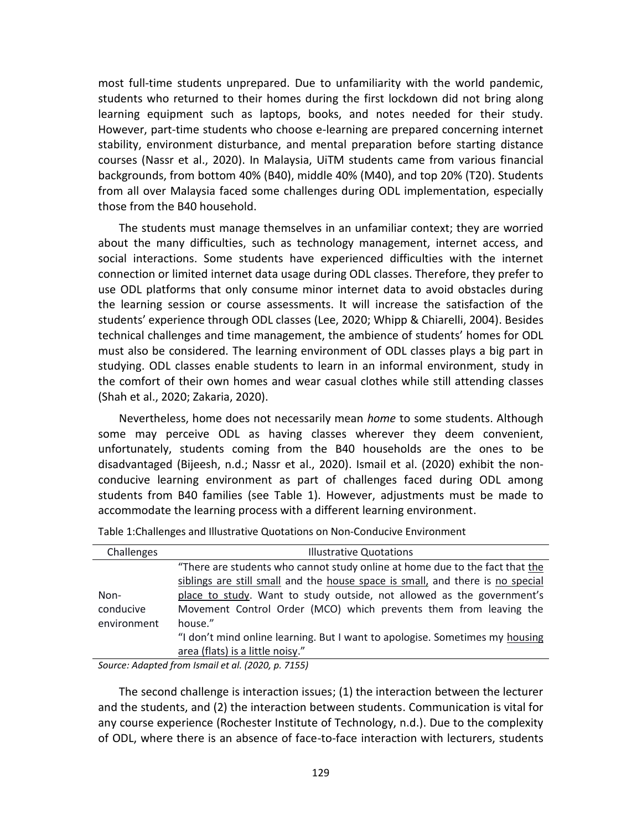most full-time students unprepared. Due to unfamiliarity with the world pandemic, students who returned to their homes during the first lockdown did not bring along learning equipment such as laptops, books, and notes needed for their study. However, part-time students who choose e-learning are prepared concerning internet stability, environment disturbance, and mental preparation before starting distance courses (Nassr et al., 2020). In Malaysia, UiTM students came from various financial backgrounds, from bottom 40% (B40), middle 40% (M40), and top 20% (T20). Students from all over Malaysia faced some challenges during ODL implementation, especially those from the B40 household.

The students must manage themselves in an unfamiliar context; they are worried about the many difficulties, such as technology management, internet access, and social interactions. Some students have experienced difficulties with the internet connection or limited internet data usage during ODL classes. Therefore, they prefer to use ODL platforms that only consume minor internet data to avoid obstacles during the learning session or course assessments. It will increase the satisfaction of the students' experience through ODL classes (Lee, 2020; Whipp & Chiarelli, 2004). Besides technical challenges and time management, the ambience of students' homes for ODL must also be considered. The learning environment of ODL classes plays a big part in studying. ODL classes enable students to learn in an informal environment, study in the comfort of their own homes and wear casual clothes while still attending classes (Shah et al., 2020; Zakaria, 2020).

Nevertheless, home does not necessarily mean *home* to some students. Although some may perceive ODL as having classes wherever they deem convenient, unfortunately, students coming from the B40 households are the ones to be disadvantaged (Bijeesh, n.d.; Nassr et al., 2020). Ismail et al. (2020) exhibit the nonconducive learning environment as part of challenges faced during ODL among students from B40 families (see Table 1). However, adjustments must be made to accommodate the learning process with a different learning environment.

| Challenges  | <b>Illustrative Quotations</b>                                                 |
|-------------|--------------------------------------------------------------------------------|
|             | "There are students who cannot study online at home due to the fact that the   |
|             | siblings are still small and the house space is small, and there is no special |
| Non-        | place to study. Want to study outside, not allowed as the government's         |
| conducive   | Movement Control Order (MCO) which prevents them from leaving the              |
| environment | house."                                                                        |
|             | "I don't mind online learning. But I want to apologise. Sometimes my housing   |
|             | area (flats) is a little noisy."                                               |

Table 1:Challenges and Illustrative Quotations on Non-Conducive Environment

*Source: Adapted from Ismail et al. (2020, p. 7155)*

The second challenge is interaction issues; (1) the interaction between the lecturer and the students, and (2) the interaction between students. Communication is vital for any course experience (Rochester Institute of Technology, n.d.). Due to the complexity of ODL, where there is an absence of face-to-face interaction with lecturers, students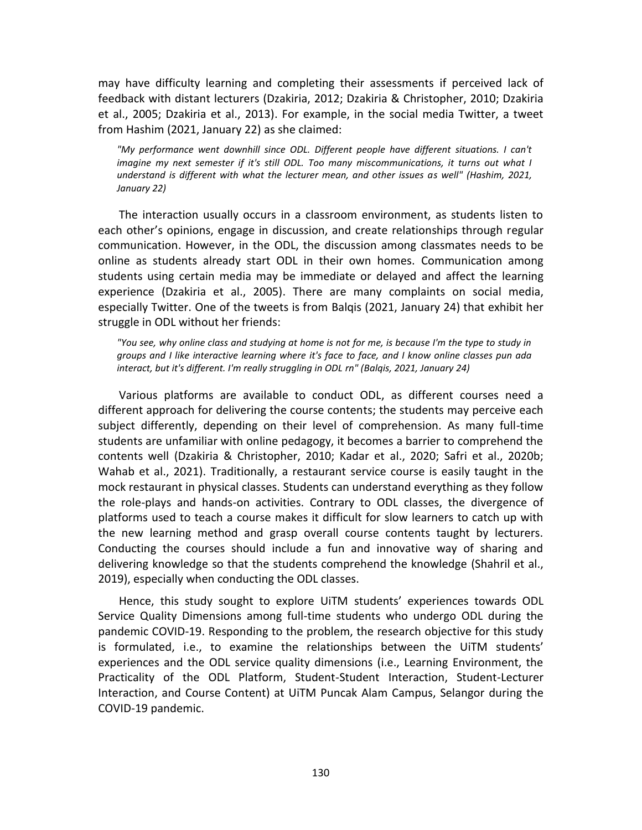may have difficulty learning and completing their assessments if perceived lack of feedback with distant lecturers (Dzakiria, 2012; Dzakiria & Christopher, 2010; Dzakiria et al., 2005; Dzakiria et al., 2013). For example, in the social media Twitter, a tweet from Hashim (2021, January 22) as she claimed:

*"My performance went downhill since ODL. Different people have different situations. I can't imagine my next semester if it's still ODL. Too many miscommunications, it turns out what I understand is different with what the lecturer mean, and other issues as well" (Hashim, 2021, January 22)*

The interaction usually occurs in a classroom environment, as students listen to each other's opinions, engage in discussion, and create relationships through regular communication. However, in the ODL, the discussion among classmates needs to be online as students already start ODL in their own homes. Communication among students using certain media may be immediate or delayed and affect the learning experience (Dzakiria et al., 2005). There are many complaints on social media, especially Twitter. One of the tweets is from Balqis (2021, January 24) that exhibit her struggle in ODL without her friends:

*"You see, why online class and studying at home is not for me, is because I'm the type to study in groups and I like interactive learning where it's face to face, and I know online classes pun ada interact, but it's different. I'm really struggling in ODL rn" (Balqis, 2021, January 24)*

Various platforms are available to conduct ODL, as different courses need a different approach for delivering the course contents; the students may perceive each subject differently, depending on their level of comprehension. As many full-time students are unfamiliar with online pedagogy, it becomes a barrier to comprehend the contents well (Dzakiria & Christopher, 2010; Kadar et al., 2020; Safri et al., 2020b; Wahab et al., 2021). Traditionally, a restaurant service course is easily taught in the mock restaurant in physical classes. Students can understand everything as they follow the role-plays and hands-on activities. Contrary to ODL classes, the divergence of platforms used to teach a course makes it difficult for slow learners to catch up with the new learning method and grasp overall course contents taught by lecturers. Conducting the courses should include a fun and innovative way of sharing and delivering knowledge so that the students comprehend the knowledge (Shahril et al., 2019), especially when conducting the ODL classes.

Hence, this study sought to explore UiTM students' experiences towards ODL Service Quality Dimensions among full-time students who undergo ODL during the pandemic COVID-19. Responding to the problem, the research objective for this study is formulated, i.e., to examine the relationships between the UiTM students' experiences and the ODL service quality dimensions (i.e., Learning Environment, the Practicality of the ODL Platform, Student-Student Interaction, Student-Lecturer Interaction, and Course Content) at UiTM Puncak Alam Campus, Selangor during the COVID-19 pandemic.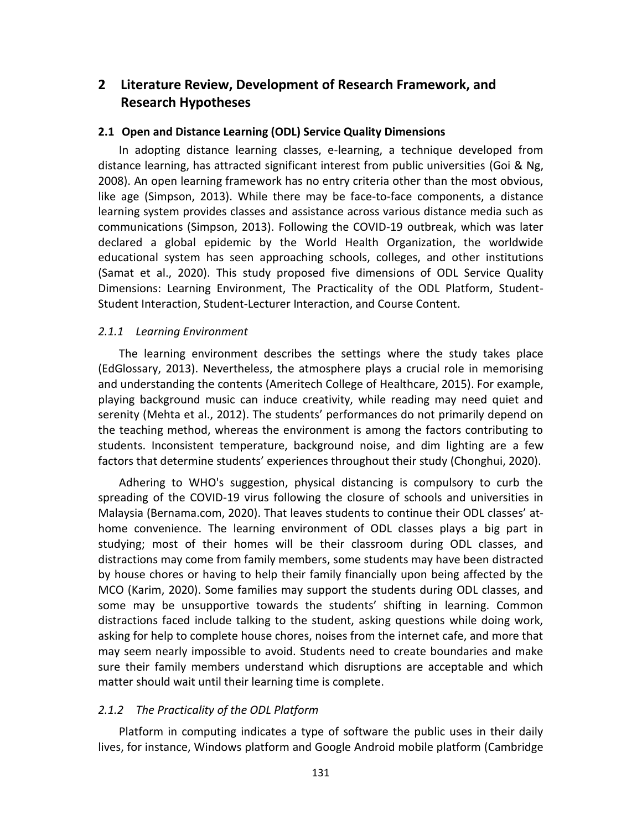# **2 Literature Review, Development of Research Framework, and Research Hypotheses**

#### **2.1 Open and Distance Learning (ODL) Service Quality Dimensions**

In adopting distance learning classes, e-learning, a technique developed from distance learning, has attracted significant interest from public universities (Goi & Ng, 2008). An open learning framework has no entry criteria other than the most obvious, like age (Simpson, 2013). While there may be face-to-face components, a distance learning system provides classes and assistance across various distance media such as communications (Simpson, 2013). Following the COVID-19 outbreak, which was later declared a global epidemic by the World Health Organization, the worldwide educational system has seen approaching schools, colleges, and other institutions (Samat et al., 2020). This study proposed five dimensions of ODL Service Quality Dimensions: Learning Environment, The Practicality of the ODL Platform, Student-Student Interaction, Student-Lecturer Interaction, and Course Content.

#### *2.1.1 Learning Environment*

The learning environment describes the settings where the study takes place (EdGlossary, 2013). Nevertheless, the atmosphere plays a crucial role in memorising and understanding the contents (Ameritech College of Healthcare, 2015). For example, playing background music can induce creativity, while reading may need quiet and serenity (Mehta et al., 2012). The students' performances do not primarily depend on the teaching method, whereas the environment is among the factors contributing to students. Inconsistent temperature, background noise, and dim lighting are a few factors that determine students' experiences throughout their study (Chonghui, 2020).

Adhering to WHO's suggestion, physical distancing is compulsory to curb the spreading of the COVID-19 virus following the closure of schools and universities in Malaysia (Bernama.com, 2020). That leaves students to continue their ODL classes' athome convenience. The learning environment of ODL classes plays a big part in studying; most of their homes will be their classroom during ODL classes, and distractions may come from family members, some students may have been distracted by house chores or having to help their family financially upon being affected by the MCO (Karim, 2020). Some families may support the students during ODL classes, and some may be unsupportive towards the students' shifting in learning. Common distractions faced include talking to the student, asking questions while doing work, asking for help to complete house chores, noises from the internet cafe, and more that may seem nearly impossible to avoid. Students need to create boundaries and make sure their family members understand which disruptions are acceptable and which matter should wait until their learning time is complete.

#### *2.1.2 The Practicality of the ODL Platform*

Platform in computing indicates a type of software the public uses in their daily lives, for instance, Windows platform and Google Android mobile platform (Cambridge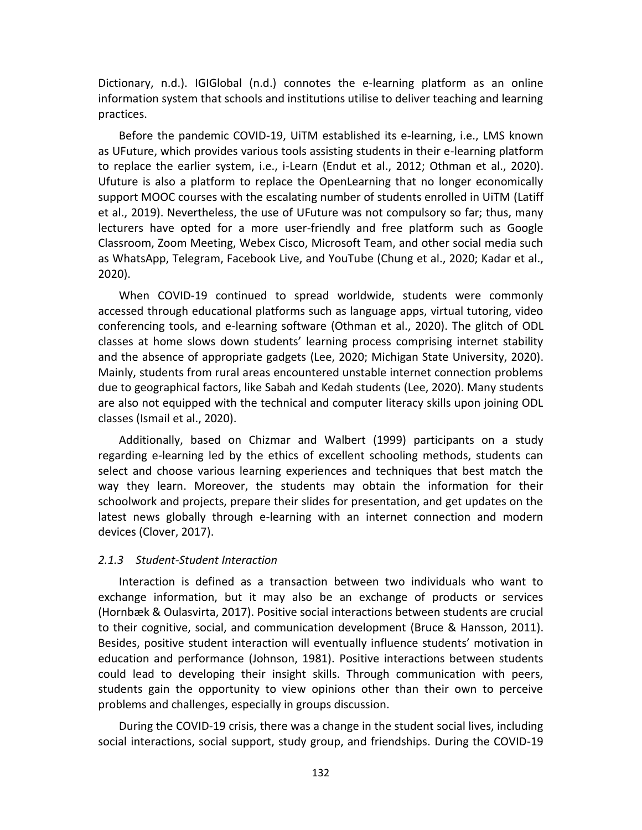Dictionary, n.d.). IGIGlobal (n.d.) connotes the e-learning platform as an online information system that schools and institutions utilise to deliver teaching and learning practices.

Before the pandemic COVID-19, UiTM established its e-learning, i.e., LMS known as UFuture, which provides various tools assisting students in their e-learning platform to replace the earlier system, i.e., i-Learn (Endut et al., 2012; Othman et al., 2020). Ufuture is also a platform to replace the OpenLearning that no longer economically support MOOC courses with the escalating number of students enrolled in UiTM (Latiff et al., 2019). Nevertheless, the use of UFuture was not compulsory so far; thus, many lecturers have opted for a more user-friendly and free platform such as Google Classroom, Zoom Meeting, Webex Cisco, Microsoft Team, and other social media such as WhatsApp, Telegram, Facebook Live, and YouTube (Chung et al., 2020; Kadar et al., 2020).

When COVID-19 continued to spread worldwide, students were commonly accessed through educational platforms such as language apps, virtual tutoring, video conferencing tools, and e-learning software (Othman et al., 2020). The glitch of ODL classes at home slows down students' learning process comprising internet stability and the absence of appropriate gadgets (Lee, 2020; Michigan State University, 2020). Mainly, students from rural areas encountered unstable internet connection problems due to geographical factors, like Sabah and Kedah students (Lee, 2020). Many students are also not equipped with the technical and computer literacy skills upon joining ODL classes (Ismail et al., 2020).

Additionally, based on Chizmar and Walbert (1999) participants on a study regarding e-learning led by the ethics of excellent schooling methods, students can select and choose various learning experiences and techniques that best match the way they learn. Moreover, the students may obtain the information for their schoolwork and projects, prepare their slides for presentation, and get updates on the latest news globally through e-learning with an internet connection and modern devices (Clover, 2017).

#### *2.1.3 Student-Student Interaction*

Interaction is defined as a transaction between two individuals who want to exchange information, but it may also be an exchange of products or services (Hornbæk & Oulasvirta, 2017). Positive social interactions between students are crucial to their cognitive, social, and communication development (Bruce & Hansson, 2011). Besides, positive student interaction will eventually influence students' motivation in education and performance (Johnson, 1981). Positive interactions between students could lead to developing their insight skills. Through communication with peers, students gain the opportunity to view opinions other than their own to perceive problems and challenges, especially in groups discussion.

During the COVID-19 crisis, there was a change in the student social lives, including social interactions, social support, study group, and friendships. During the COVID-19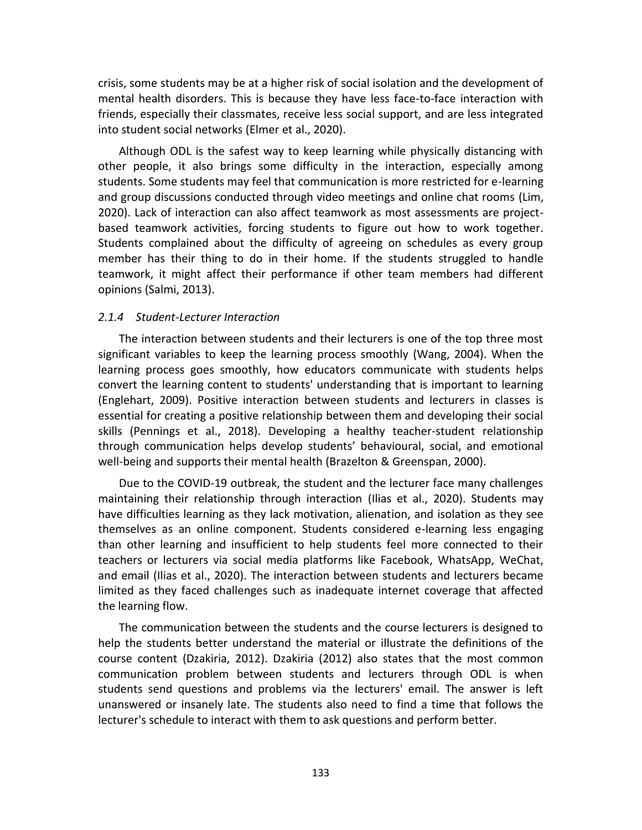crisis, some students may be at a higher risk of social isolation and the development of mental health disorders. This is because they have less face-to-face interaction with friends, especially their classmates, receive less social support, and are less integrated into student social networks (Elmer et al., 2020).

Although ODL is the safest way to keep learning while physically distancing with other people, it also brings some difficulty in the interaction, especially among students. Some students may feel that communication is more restricted for e-learning and group discussions conducted through video meetings and online chat rooms (Lim, 2020). Lack of interaction can also affect teamwork as most assessments are projectbased teamwork activities, forcing students to figure out how to work together. Students complained about the difficulty of agreeing on schedules as every group member has their thing to do in their home. If the students struggled to handle teamwork, it might affect their performance if other team members had different opinions (Salmi, 2013).

#### *2.1.4 Student-Lecturer Interaction*

The interaction between students and their lecturers is one of the top three most significant variables to keep the learning process smoothly (Wang, 2004). When the learning process goes smoothly, how educators communicate with students helps convert the learning content to students' understanding that is important to learning (Englehart, 2009). Positive interaction between students and lecturers in classes is essential for creating a positive relationship between them and developing their social skills (Pennings et al., 2018). Developing a healthy teacher-student relationship through communication helps develop students' behavioural, social, and emotional well-being and supports their mental health (Brazelton & Greenspan, 2000).

Due to the COVID-19 outbreak, the student and the lecturer face many challenges maintaining their relationship through interaction (Ilias et al., 2020). Students may have difficulties learning as they lack motivation, alienation, and isolation as they see themselves as an online component. Students considered e-learning less engaging than other learning and insufficient to help students feel more connected to their teachers or lecturers via social media platforms like Facebook, WhatsApp, WeChat, and email (Ilias et al., 2020). The interaction between students and lecturers became limited as they faced challenges such as inadequate internet coverage that affected the learning flow.

The communication between the students and the course lecturers is designed to help the students better understand the material or illustrate the definitions of the course content (Dzakiria, 2012). Dzakiria (2012) also states that the most common communication problem between students and lecturers through ODL is when students send questions and problems via the lecturers' email. The answer is left unanswered or insanely late. The students also need to find a time that follows the lecturer's schedule to interact with them to ask questions and perform better.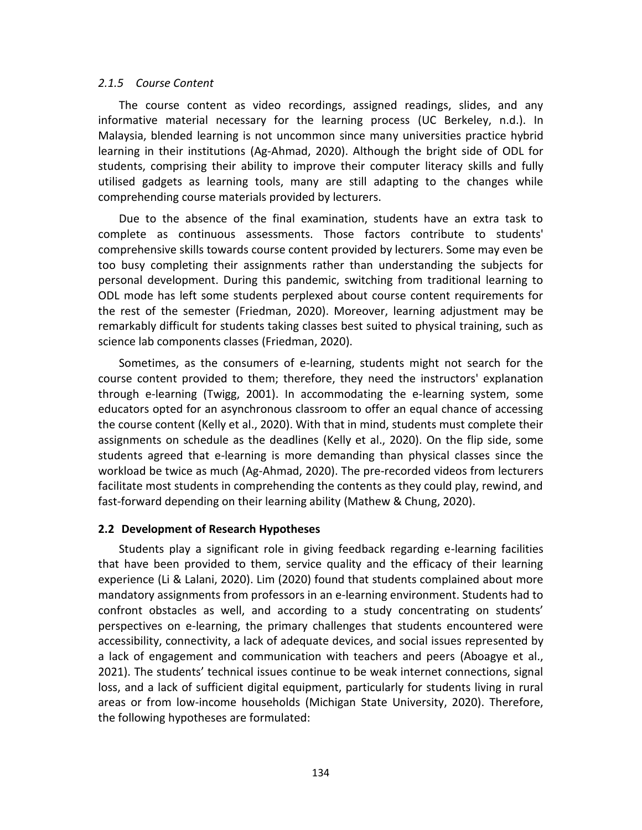#### *2.1.5 Course Content*

The course content as video recordings, assigned readings, slides, and any informative material necessary for the learning process (UC Berkeley, n.d.). In Malaysia, blended learning is not uncommon since many universities practice hybrid learning in their institutions (Ag-Ahmad, 2020). Although the bright side of ODL for students, comprising their ability to improve their computer literacy skills and fully utilised gadgets as learning tools, many are still adapting to the changes while comprehending course materials provided by lecturers.

Due to the absence of the final examination, students have an extra task to complete as continuous assessments. Those factors contribute to students' comprehensive skills towards course content provided by lecturers. Some may even be too busy completing their assignments rather than understanding the subjects for personal development. During this pandemic, switching from traditional learning to ODL mode has left some students perplexed about course content requirements for the rest of the semester (Friedman, 2020). Moreover, learning adjustment may be remarkably difficult for students taking classes best suited to physical training, such as science lab components classes (Friedman, 2020).

Sometimes, as the consumers of e-learning, students might not search for the course content provided to them; therefore, they need the instructors' explanation through e-learning (Twigg, 2001). In accommodating the e-learning system, some educators opted for an asynchronous classroom to offer an equal chance of accessing the course content (Kelly et al., 2020). With that in mind, students must complete their assignments on schedule as the deadlines (Kelly et al., 2020). On the flip side, some students agreed that e-learning is more demanding than physical classes since the workload be twice as much (Ag-Ahmad, 2020). The pre-recorded videos from lecturers facilitate most students in comprehending the contents as they could play, rewind, and fast-forward depending on their learning ability (Mathew & Chung, 2020).

#### **2.2 Development of Research Hypotheses**

Students play a significant role in giving feedback regarding e-learning facilities that have been provided to them, service quality and the efficacy of their learning experience (Li & Lalani, 2020). Lim (2020) found that students complained about more mandatory assignments from professors in an e-learning environment. Students had to confront obstacles as well, and according to a study concentrating on students' perspectives on e-learning, the primary challenges that students encountered were accessibility, connectivity, a lack of adequate devices, and social issues represented by a lack of engagement and communication with teachers and peers (Aboagye et al., 2021). The students' technical issues continue to be weak internet connections, signal loss, and a lack of sufficient digital equipment, particularly for students living in rural areas or from low-income households (Michigan State University, 2020). Therefore, the following hypotheses are formulated: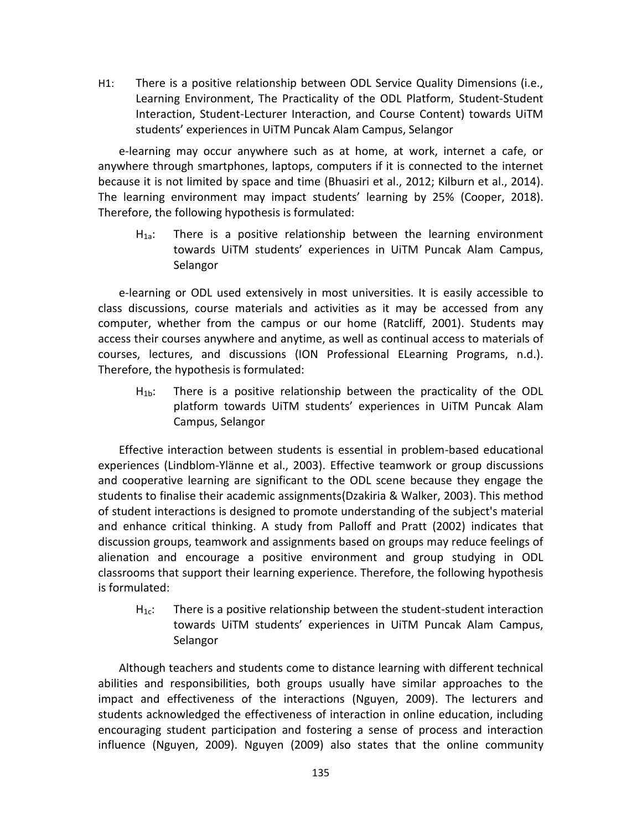H1: There is a positive relationship between ODL Service Quality Dimensions (i.e., Learning Environment, The Practicality of the ODL Platform, Student-Student Interaction, Student-Lecturer Interaction, and Course Content) towards UiTM students' experiences in UiTM Puncak Alam Campus, Selangor

e-learning may occur anywhere such as at home, at work, internet a cafe, or anywhere through smartphones, laptops, computers if it is connected to the internet because it is not limited by space and time (Bhuasiri et al., 2012; Kilburn et al., 2014). The learning environment may impact students' learning by 25% (Cooper, 2018). Therefore, the following hypothesis is formulated:

 $H<sub>1a</sub>$ : There is a positive relationship between the learning environment towards UiTM students' experiences in UiTM Puncak Alam Campus, Selangor

e-learning or ODL used extensively in most universities. It is easily accessible to class discussions, course materials and activities as it may be accessed from any computer, whether from the campus or our home (Ratcliff, 2001). Students may access their courses anywhere and anytime, as well as continual access to materials of courses, lectures, and discussions (ION Professional ELearning Programs, n.d.). Therefore, the hypothesis is formulated:

H<sub>1b</sub>: There is a positive relationship between the practicality of the ODL platform towards UiTM students' experiences in UiTM Puncak Alam Campus, Selangor

Effective interaction between students is essential in problem-based educational experiences (Lindblom-Ylänne et al., 2003). Effective teamwork or group discussions and cooperative learning are significant to the ODL scene because they engage the students to finalise their academic assignments(Dzakiria & Walker, 2003). This method of student interactions is designed to promote understanding of the subject's material and enhance critical thinking. A study from Palloff and Pratt (2002) indicates that discussion groups, teamwork and assignments based on groups may reduce feelings of alienation and encourage a positive environment and group studying in ODL classrooms that support their learning experience. Therefore, the following hypothesis is formulated:

 $H_{1c}$ : There is a positive relationship between the student-student interaction towards UiTM students' experiences in UiTM Puncak Alam Campus, Selangor

Although teachers and students come to distance learning with different technical abilities and responsibilities, both groups usually have similar approaches to the impact and effectiveness of the interactions (Nguyen, 2009). The lecturers and students acknowledged the effectiveness of interaction in online education, including encouraging student participation and fostering a sense of process and interaction influence (Nguyen, 2009). Nguyen (2009) also states that the online community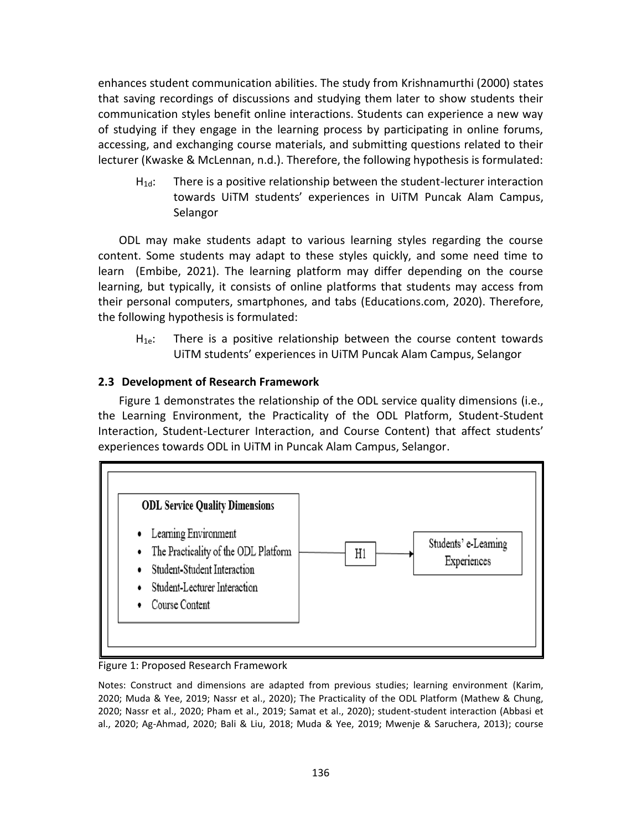enhances student communication abilities. The study from Krishnamurthi (2000) states that saving recordings of discussions and studying them later to show students their communication styles benefit online interactions. Students can experience a new way of studying if they engage in the learning process by participating in online forums, accessing, and exchanging course materials, and submitting questions related to their lecturer (Kwaske & McLennan, n.d.). Therefore, the following hypothesis is formulated:

H1d: There is a positive relationship between the student-lecturer interaction towards UiTM students' experiences in UiTM Puncak Alam Campus, Selangor

ODL may make students adapt to various learning styles regarding the course content. Some students may adapt to these styles quickly, and some need time to learn (Embibe, 2021). The learning platform may differ depending on the course learning, but typically, it consists of online platforms that students may access from their personal computers, smartphones, and tabs (Educations.com, 2020). Therefore, the following hypothesis is formulated:

 $H_{1e}$ : There is a positive relationship between the course content towards UiTM students' experiences in UiTM Puncak Alam Campus, Selangor

# **2.3 Development of Research Framework**

Figure 1 demonstrates the relationship of the ODL service quality dimensions (i.e., the Learning Environment, the Practicality of the ODL Platform, Student-Student Interaction, Student-Lecturer Interaction, and Course Content) that affect students' experiences towards ODL in UiTM in Puncak Alam Campus, Selangor.



Figure 1: Proposed Research Framework

Notes: Construct and dimensions are adapted from previous studies; learning environment (Karim, 2020; Muda & Yee, 2019; Nassr et al., 2020); The Practicality of the ODL Platform (Mathew & Chung, 2020; Nassr et al., 2020; Pham et al., 2019; Samat et al., 2020); student-student interaction (Abbasi et al., 2020; Ag-Ahmad, 2020; Bali & Liu, 2018; Muda & Yee, 2019; Mwenje & Saruchera, 2013); course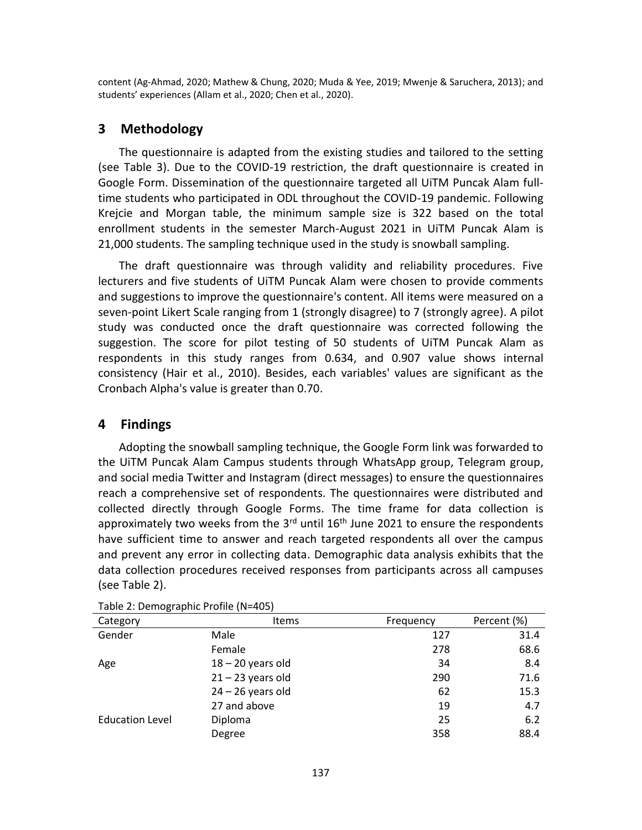content (Ag-Ahmad, 2020; Mathew & Chung, 2020; Muda & Yee, 2019; Mwenje & Saruchera, 2013); and students' experiences (Allam et al., 2020; Chen et al., 2020).

# **3 Methodology**

The questionnaire is adapted from the existing studies and tailored to the setting (see Table 3). Due to the COVID-19 restriction, the draft questionnaire is created in Google Form. Dissemination of the questionnaire targeted all UiTM Puncak Alam fulltime students who participated in ODL throughout the COVID-19 pandemic. Following Krejcie and Morgan table, the minimum sample size is 322 based on the total enrollment students in the semester March-August 2021 in UiTM Puncak Alam is 21,000 students. The sampling technique used in the study is snowball sampling.

The draft questionnaire was through validity and reliability procedures. Five lecturers and five students of UiTM Puncak Alam were chosen to provide comments and suggestions to improve the questionnaire's content. All items were measured on a seven-point Likert Scale ranging from 1 (strongly disagree) to 7 (strongly agree). A pilot study was conducted once the draft questionnaire was corrected following the suggestion. The score for pilot testing of 50 students of UiTM Puncak Alam as respondents in this study ranges from 0.634, and 0.907 value shows internal consistency (Hair et al., 2010). Besides, each variables' values are significant as the Cronbach Alpha's value is greater than 0.70.

# **4 Findings**

Adopting the snowball sampling technique, the Google Form link was forwarded to the UiTM Puncak Alam Campus students through WhatsApp group, Telegram group, and social media Twitter and Instagram (direct messages) to ensure the questionnaires reach a comprehensive set of respondents. The questionnaires were distributed and collected directly through Google Forms. The time frame for data collection is approximately two weeks from the  $3<sup>rd</sup>$  until  $16<sup>th</sup>$  June 2021 to ensure the respondents have sufficient time to answer and reach targeted respondents all over the campus and prevent any error in collecting data. Demographic data analysis exhibits that the data collection procedures received responses from participants across all campuses (see Table 2).

|                        | . .                 |           |             |
|------------------------|---------------------|-----------|-------------|
| Category               | <b>Items</b>        | Frequency | Percent (%) |
| Gender                 | Male                | 127       | 31.4        |
|                        | Female              | 278       | 68.6        |
| Age                    | $18 - 20$ years old | 34        | 8.4         |
|                        | $21 - 23$ years old | 290       | 71.6        |
|                        | $24 - 26$ years old | 62        | 15.3        |
|                        | 27 and above        | 19        | 4.7         |
| <b>Education Level</b> | Diploma             | 25        | 6.2         |
|                        | Degree              | 358       | 88.4        |

Table 2: Demographic Profile (N=405)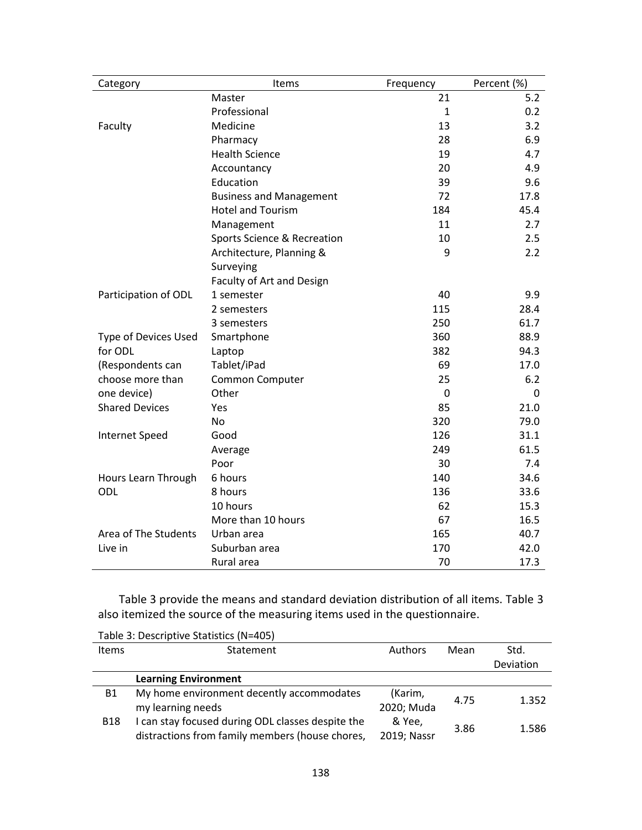| Category              | Items                          | Frequency    | Percent (%) |
|-----------------------|--------------------------------|--------------|-------------|
|                       | Master                         | 21           | 5.2         |
|                       | Professional                   | $\mathbf{1}$ | 0.2         |
| Faculty               | Medicine                       | 13           | 3.2         |
|                       | Pharmacy                       | 28           | 6.9         |
|                       | <b>Health Science</b>          | 19           | 4.7         |
|                       | Accountancy                    | 20           | 4.9         |
|                       | Education                      | 39           | 9.6         |
|                       | <b>Business and Management</b> | 72           | 17.8        |
|                       | <b>Hotel and Tourism</b>       | 184          | 45.4        |
|                       | Management                     | 11           | 2.7         |
|                       | Sports Science & Recreation    | 10           | 2.5         |
|                       | Architecture, Planning &       | 9            | 2.2         |
|                       | Surveying                      |              |             |
|                       | Faculty of Art and Design      |              |             |
| Participation of ODL  | 1 semester                     | 40           | 9.9         |
|                       | 2 semesters                    | 115          | 28.4        |
|                       | 3 semesters                    | 250          | 61.7        |
| Type of Devices Used  | Smartphone                     | 360          | 88.9        |
| for ODL               | Laptop                         | 382          | 94.3        |
| (Respondents can      | Tablet/iPad                    | 69           | 17.0        |
| choose more than      | Common Computer                | 25           | 6.2         |
| one device)           | Other                          | 0            | 0           |
| <b>Shared Devices</b> | Yes                            | 85           | 21.0        |
|                       | <b>No</b>                      | 320          | 79.0        |
| <b>Internet Speed</b> | Good                           | 126          | 31.1        |
|                       | Average                        | 249          | 61.5        |
|                       | Poor                           | 30           | 7.4         |
| Hours Learn Through   | 6 hours                        | 140          | 34.6        |
| ODL                   | 8 hours                        | 136          | 33.6        |
|                       | 10 hours                       | 62           | 15.3        |
|                       | More than 10 hours             | 67           | 16.5        |
| Area of The Students  | Urban area                     | 165          | 40.7        |
| Live in               | Suburban area                  | 170          | 42.0        |
|                       | Rural area                     | 70           | 17.3        |

Table 3 provide the means and standard deviation distribution of all items. Table 3 also itemized the source of the measuring items used in the questionnaire.

| Table 5. Descriptive statistics (19–405) |                                                   |             |      |           |  |
|------------------------------------------|---------------------------------------------------|-------------|------|-----------|--|
| <b>Items</b>                             | Statement                                         | Authors     | Mean | Std.      |  |
|                                          |                                                   |             |      | Deviation |  |
|                                          | <b>Learning Environment</b>                       |             |      |           |  |
| B1                                       | My home environment decently accommodates         | (Karim,     | 4.75 | 1.352     |  |
|                                          | my learning needs                                 | 2020; Muda  |      |           |  |
| <b>B18</b>                               | I can stay focused during ODL classes despite the | & Yee,      | 3.86 | 1.586     |  |
|                                          | distractions from family members (house chores,   | 2019; Nassr |      |           |  |

Table 3: Descriptive Statistics (N=405)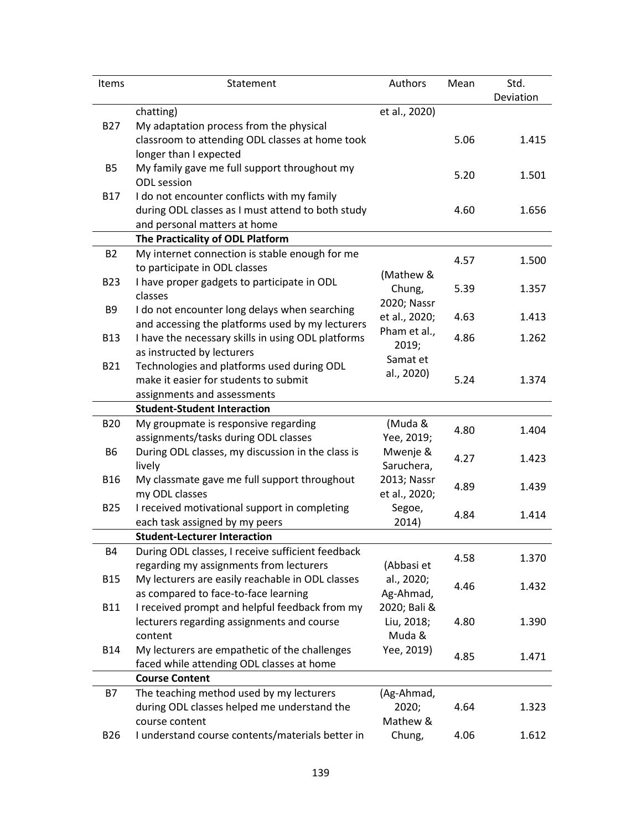| Items          | Statement                                                                              | Authors              | Mean | Std.      |
|----------------|----------------------------------------------------------------------------------------|----------------------|------|-----------|
|                |                                                                                        |                      |      | Deviation |
|                | chatting)                                                                              | et al., 2020)        |      |           |
| <b>B27</b>     | My adaptation process from the physical                                                |                      |      |           |
|                | classroom to attending ODL classes at home took                                        |                      | 5.06 | 1.415     |
|                | longer than I expected                                                                 |                      |      |           |
| <b>B5</b>      | My family gave me full support throughout my                                           |                      | 5.20 | 1.501     |
|                | <b>ODL</b> session                                                                     |                      |      |           |
| <b>B17</b>     | I do not encounter conflicts with my family                                            |                      |      |           |
|                | during ODL classes as I must attend to both study                                      |                      | 4.60 | 1.656     |
|                | and personal matters at home                                                           |                      |      |           |
|                | The Practicality of ODL Platform                                                       |                      |      |           |
| <b>B2</b>      | My internet connection is stable enough for me                                         |                      | 4.57 | 1.500     |
|                | to participate in ODL classes                                                          | (Mathew &            |      |           |
| <b>B23</b>     | I have proper gadgets to participate in ODL                                            | Chung,               | 5.39 | 1.357     |
|                | classes                                                                                | 2020; Nassr          |      |           |
| B <sub>9</sub> | I do not encounter long delays when searching                                          | et al., 2020;        | 4.63 | 1.413     |
|                | and accessing the platforms used by my lecturers                                       | Pham et al.,         |      |           |
| <b>B13</b>     | I have the necessary skills in using ODL platforms                                     | 2019;                | 4.86 | 1.262     |
|                | as instructed by lecturers                                                             | Samat et             |      |           |
| <b>B21</b>     | Technologies and platforms used during ODL                                             | al., 2020)           |      |           |
|                | make it easier for students to submit                                                  |                      | 5.24 | 1.374     |
|                | assignments and assessments                                                            |                      |      |           |
|                | <b>Student-Student Interaction</b>                                                     |                      |      |           |
| <b>B20</b>     | My groupmate is responsive regarding                                                   | (Muda &              | 4.80 | 1.404     |
|                | assignments/tasks during ODL classes                                                   | Yee, 2019;           |      |           |
| <b>B6</b>      | During ODL classes, my discussion in the class is                                      | Mwenje &             | 4.27 | 1.423     |
|                | lively                                                                                 | Saruchera,           |      |           |
| <b>B16</b>     | My classmate gave me full support throughout                                           | 2013; Nassr          | 4.89 | 1.439     |
|                | my ODL classes                                                                         | et al., 2020;        |      |           |
| <b>B25</b>     | I received motivational support in completing                                          | Segoe,               | 4.84 | 1.414     |
|                | each task assigned by my peers                                                         | 2014)                |      |           |
|                | <b>Student-Lecturer Interaction</b>                                                    |                      |      |           |
| <b>B4</b>      | During ODL classes, I receive sufficient feedback                                      |                      | 4.58 | 1.370     |
|                | regarding my assignments from lecturers                                                | (Abbasi et           |      |           |
| <b>B15</b>     | My lecturers are easily reachable in ODL classes                                       | al., 2020;           | 4.46 | 1.432     |
|                | as compared to face-to-face learning<br>I received prompt and helpful feedback from my | Ag-Ahmad,            |      |           |
| <b>B11</b>     |                                                                                        | 2020; Bali &         | 4.80 | 1.390     |
|                | lecturers regarding assignments and course<br>content                                  | Liu, 2018;<br>Muda & |      |           |
| <b>B14</b>     | My lecturers are empathetic of the challenges                                          | Yee, 2019)           |      |           |
|                | faced while attending ODL classes at home                                              |                      | 4.85 | 1.471     |
|                | <b>Course Content</b>                                                                  |                      |      |           |
| B7             | The teaching method used by my lecturers                                               | (Ag-Ahmad,           |      |           |
|                | during ODL classes helped me understand the                                            | 2020;                | 4.64 | 1.323     |
|                | course content                                                                         | Mathew &             |      |           |
| <b>B26</b>     | I understand course contents/materials better in                                       | Chung,               | 4.06 | 1.612     |
|                |                                                                                        |                      |      |           |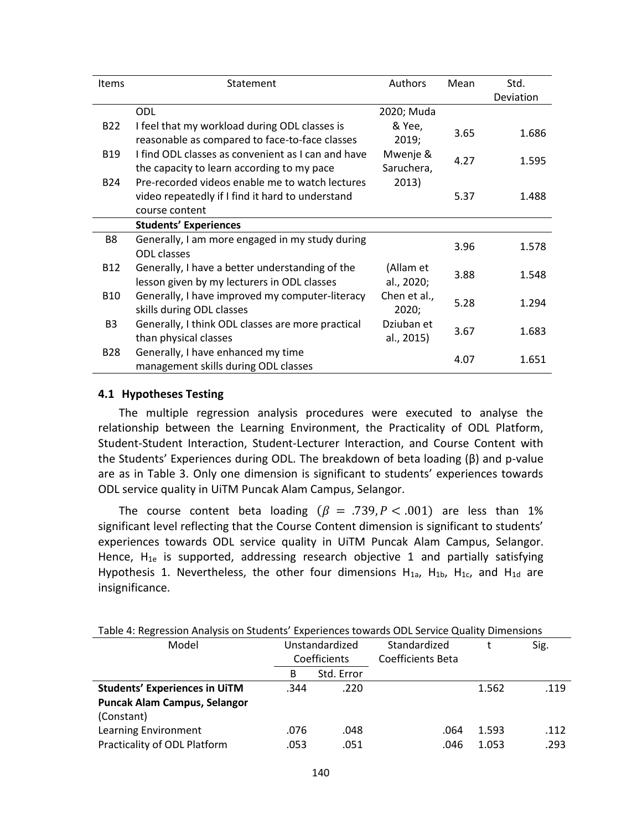| <b>Items</b>    | Statement                                          | Authors      | Mean | Std.      |
|-----------------|----------------------------------------------------|--------------|------|-----------|
|                 |                                                    |              |      | Deviation |
|                 | ODL                                                | 2020; Muda   |      |           |
| <b>B22</b>      | I feel that my workload during ODL classes is      | & Yee,       | 3.65 | 1.686     |
|                 | reasonable as compared to face-to-face classes     | 2019;        |      |           |
| <b>B19</b>      | I find ODL classes as convenient as I can and have | Mwenje &     | 4.27 | 1.595     |
|                 | the capacity to learn according to my pace         | Saruchera,   |      |           |
| <b>B24</b>      | Pre-recorded videos enable me to watch lectures    | 2013)        |      |           |
|                 | video repeatedly if I find it hard to understand   |              | 5.37 | 1.488     |
|                 | course content                                     |              |      |           |
|                 | <b>Students' Experiences</b>                       |              |      |           |
| B8              | Generally, I am more engaged in my study during    |              | 3.96 | 1.578     |
|                 | <b>ODL</b> classes                                 |              |      |           |
| B <sub>12</sub> | Generally, I have a better understanding of the    | (Allam et    | 3.88 | 1.548     |
|                 | lesson given by my lecturers in ODL classes        | al., 2020;   |      |           |
| <b>B10</b>      | Generally, I have improved my computer-literacy    | Chen et al., | 5.28 | 1.294     |
|                 | skills during ODL classes                          | 2020;        |      |           |
| B <sub>3</sub>  | Generally, I think ODL classes are more practical  | Dziuban et   | 3.67 | 1.683     |
|                 | than physical classes                              | al., 2015)   |      |           |
| <b>B28</b>      | Generally, I have enhanced my time                 |              | 4.07 | 1.651     |
|                 | management skills during ODL classes               |              |      |           |

#### **4.1 Hypotheses Testing**

The multiple regression analysis procedures were executed to analyse the relationship between the Learning Environment, the Practicality of ODL Platform, Student-Student Interaction, Student-Lecturer Interaction, and Course Content with the Students' Experiences during ODL. The breakdown of beta loading (β) and p-value are as in Table 3. Only one dimension is significant to students' experiences towards ODL service quality in UiTM Puncak Alam Campus, Selangor.

The course content beta loading ( $\beta = .739, P < .001$ ) are less than 1% significant level reflecting that the Course Content dimension is significant to students' experiences towards ODL service quality in UiTM Puncak Alam Campus, Selangor. Hence,  $H_{1e}$  is supported, addressing research objective 1 and partially satisfying Hypothesis 1. Nevertheless, the other four dimensions  $H_{1a}$ ,  $H_{1b}$ ,  $H_{1c}$ , and  $H_{1d}$  are insignificance.

| Table 4: Regression Analysis on Students' Experiences towards ODL Service Quality Dimensions |                                |            |                   |       |      |  |
|----------------------------------------------------------------------------------------------|--------------------------------|------------|-------------------|-------|------|--|
| Model                                                                                        | Unstandardized<br>Coefficients |            | Standardized      |       | Sig. |  |
|                                                                                              |                                |            | Coefficients Beta |       |      |  |
|                                                                                              | B                              | Std. Error |                   |       |      |  |
| <b>Students' Experiences in UiTM</b>                                                         | .344                           | .220       |                   | 1.562 | .119 |  |
| Puncak Alam Campus, Selangor                                                                 |                                |            |                   |       |      |  |
| (Constant)                                                                                   |                                |            |                   |       |      |  |
| Learning Environment                                                                         | .076                           | .048       | .064              | 1.593 | .112 |  |
| Practicality of ODL Platform                                                                 | .053                           | .051       | .046              | 1.053 | .293 |  |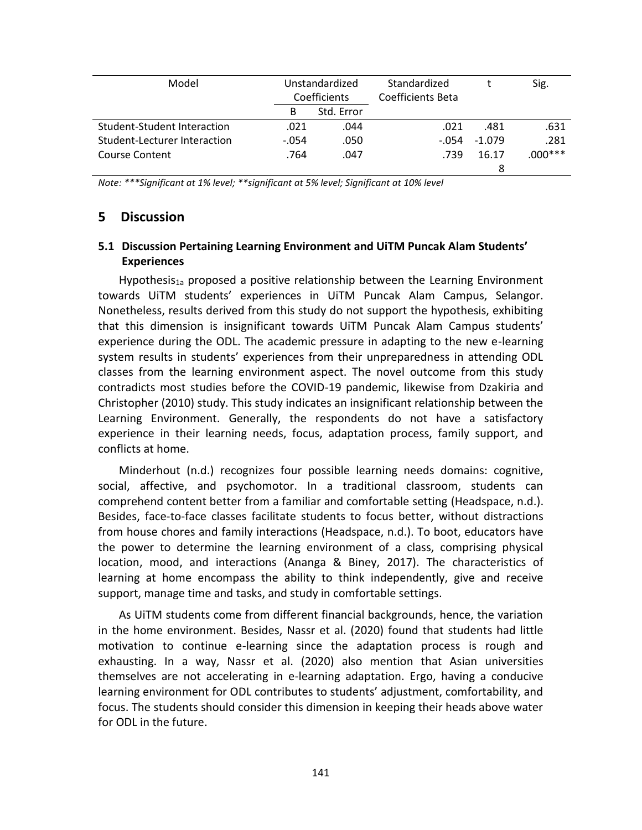| Model                        | Unstandardized |              | Standardized      |          | Sig.      |
|------------------------------|----------------|--------------|-------------------|----------|-----------|
|                              |                | Coefficients | Coefficients Beta |          |           |
|                              | в              | Std. Error   |                   |          |           |
| Student-Student Interaction  | .021           | .044         | .021              | .481     | .631      |
| Student-Lecturer Interaction | $-.054$        | .050         | $-.054$           | $-1.079$ | .281      |
| Course Content               | .764           | .047         | .739              | 16.17    | $.000***$ |
|                              |                |              |                   | 8        |           |

*Note: \*\*\*Significant at 1% level; \*\*significant at 5% level; Significant at 10% level*

## **5 Discussion**

## **5.1 Discussion Pertaining Learning Environment and UiTM Puncak Alam Students' Experiences**

Hypothesis<sub>1a</sub> proposed a positive relationship between the Learning Environment towards UiTM students' experiences in UiTM Puncak Alam Campus, Selangor. Nonetheless, results derived from this study do not support the hypothesis, exhibiting that this dimension is insignificant towards UiTM Puncak Alam Campus students' experience during the ODL. The academic pressure in adapting to the new e-learning system results in students' experiences from their unpreparedness in attending ODL classes from the learning environment aspect. The novel outcome from this study contradicts most studies before the COVID-19 pandemic, likewise from Dzakiria and Christopher (2010) study. This study indicates an insignificant relationship between the Learning Environment. Generally, the respondents do not have a satisfactory experience in their learning needs, focus, adaptation process, family support, and conflicts at home.

Minderhout (n.d.) recognizes four possible learning needs domains: cognitive, social, affective, and psychomotor. In a traditional classroom, students can comprehend content better from a familiar and comfortable setting (Headspace, n.d.). Besides, face-to-face classes facilitate students to focus better, without distractions from house chores and family interactions (Headspace, n.d.). To boot, educators have the power to determine the learning environment of a class, comprising physical location, mood, and interactions (Ananga & Biney, 2017). The characteristics of learning at home encompass the ability to think independently, give and receive support, manage time and tasks, and study in comfortable settings.

As UiTM students come from different financial backgrounds, hence, the variation in the home environment. Besides, Nassr et al. (2020) found that students had little motivation to continue e-learning since the adaptation process is rough and exhausting. In a way, Nassr et al. (2020) also mention that Asian universities themselves are not accelerating in e-learning adaptation. Ergo, having a conducive learning environment for ODL contributes to students' adjustment, comfortability, and focus. The students should consider this dimension in keeping their heads above water for ODL in the future.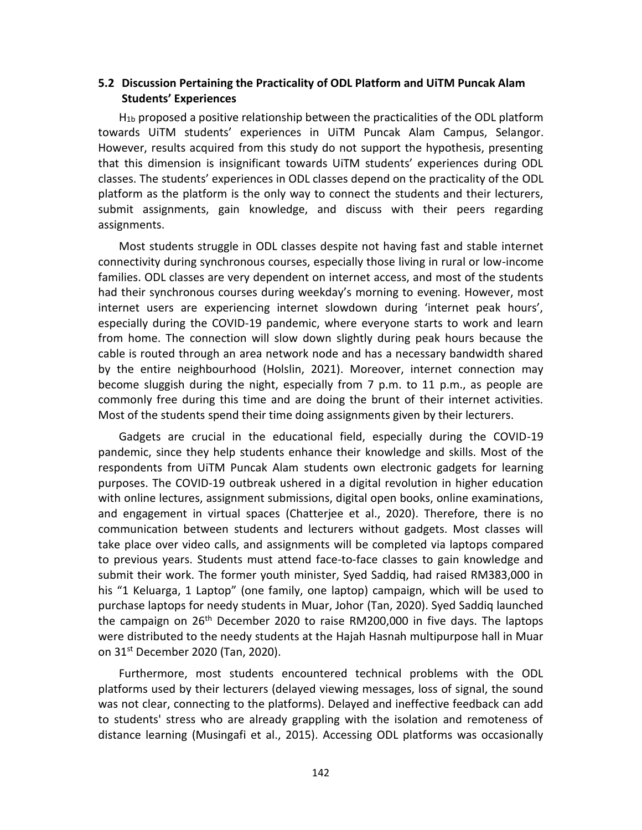# **5.2 Discussion Pertaining the Practicality of ODL Platform and UiTM Puncak Alam Students' Experiences**

 $H_{1b}$  proposed a positive relationship between the practicalities of the ODL platform towards UiTM students' experiences in UiTM Puncak Alam Campus, Selangor. However, results acquired from this study do not support the hypothesis, presenting that this dimension is insignificant towards UiTM students' experiences during ODL classes. The students' experiences in ODL classes depend on the practicality of the ODL platform as the platform is the only way to connect the students and their lecturers, submit assignments, gain knowledge, and discuss with their peers regarding assignments.

Most students struggle in ODL classes despite not having fast and stable internet connectivity during synchronous courses, especially those living in rural or low-income families. ODL classes are very dependent on internet access, and most of the students had their synchronous courses during weekday's morning to evening. However, most internet users are experiencing internet slowdown during 'internet peak hours', especially during the COVID-19 pandemic, where everyone starts to work and learn from home. The connection will slow down slightly during peak hours because the cable is routed through an area network node and has a necessary bandwidth shared by the entire neighbourhood (Holslin, 2021). Moreover, internet connection may become sluggish during the night, especially from 7 p.m. to 11 p.m., as people are commonly free during this time and are doing the brunt of their internet activities. Most of the students spend their time doing assignments given by their lecturers.

Gadgets are crucial in the educational field, especially during the COVID-19 pandemic, since they help students enhance their knowledge and skills. Most of the respondents from UiTM Puncak Alam students own electronic gadgets for learning purposes. The COVID-19 outbreak ushered in a digital revolution in higher education with online lectures, assignment submissions, digital open books, online examinations, and engagement in virtual spaces (Chatterjee et al., 2020). Therefore, there is no communication between students and lecturers without gadgets. Most classes will take place over video calls, and assignments will be completed via laptops compared to previous years. Students must attend face-to-face classes to gain knowledge and submit their work. The former youth minister, Syed Saddiq, had raised RM383,000 in his "1 Keluarga, 1 Laptop" (one family, one laptop) campaign, which will be used to purchase laptops for needy students in Muar, Johor (Tan, 2020). Syed Saddiq launched the campaign on  $26<sup>th</sup>$  December 2020 to raise RM200,000 in five days. The laptops were distributed to the needy students at the Hajah Hasnah multipurpose hall in Muar on 31st December 2020 (Tan, 2020).

Furthermore, most students encountered technical problems with the ODL platforms used by their lecturers (delayed viewing messages, loss of signal, the sound was not clear, connecting to the platforms). Delayed and ineffective feedback can add to students' stress who are already grappling with the isolation and remoteness of distance learning (Musingafi et al., 2015). Accessing ODL platforms was occasionally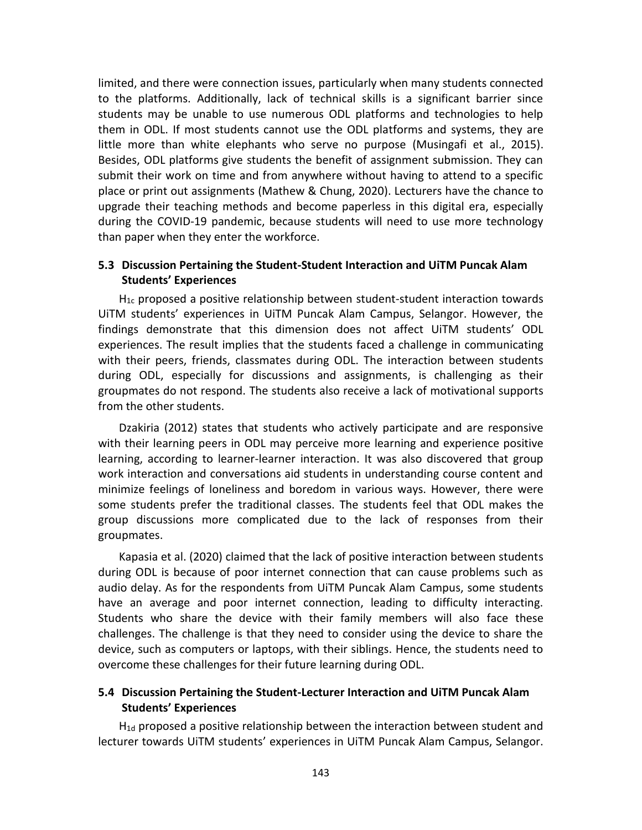limited, and there were connection issues, particularly when many students connected to the platforms. Additionally, lack of technical skills is a significant barrier since students may be unable to use numerous ODL platforms and technologies to help them in ODL. If most students cannot use the ODL platforms and systems, they are little more than white elephants who serve no purpose (Musingafi et al., 2015). Besides, ODL platforms give students the benefit of assignment submission. They can submit their work on time and from anywhere without having to attend to a specific place or print out assignments (Mathew & Chung, 2020). Lecturers have the chance to upgrade their teaching methods and become paperless in this digital era, especially during the COVID-19 pandemic, because students will need to use more technology than paper when they enter the workforce.

## **5.3 Discussion Pertaining the Student-Student Interaction and UiTM Puncak Alam Students' Experiences**

 $H_{1c}$  proposed a positive relationship between student-student interaction towards UiTM students' experiences in UiTM Puncak Alam Campus, Selangor. However, the findings demonstrate that this dimension does not affect UiTM students' ODL experiences. The result implies that the students faced a challenge in communicating with their peers, friends, classmates during ODL. The interaction between students during ODL, especially for discussions and assignments, is challenging as their groupmates do not respond. The students also receive a lack of motivational supports from the other students.

Dzakiria (2012) states that students who actively participate and are responsive with their learning peers in ODL may perceive more learning and experience positive learning, according to learner-learner interaction. It was also discovered that group work interaction and conversations aid students in understanding course content and minimize feelings of loneliness and boredom in various ways. However, there were some students prefer the traditional classes. The students feel that ODL makes the group discussions more complicated due to the lack of responses from their groupmates.

Kapasia et al. (2020) claimed that the lack of positive interaction between students during ODL is because of poor internet connection that can cause problems such as audio delay. As for the respondents from UiTM Puncak Alam Campus, some students have an average and poor internet connection, leading to difficulty interacting. Students who share the device with their family members will also face these challenges. The challenge is that they need to consider using the device to share the device, such as computers or laptops, with their siblings. Hence, the students need to overcome these challenges for their future learning during ODL.

# **5.4 Discussion Pertaining the Student-Lecturer Interaction and UiTM Puncak Alam Students' Experiences**

 $H_{1d}$  proposed a positive relationship between the interaction between student and lecturer towards UiTM students' experiences in UiTM Puncak Alam Campus, Selangor.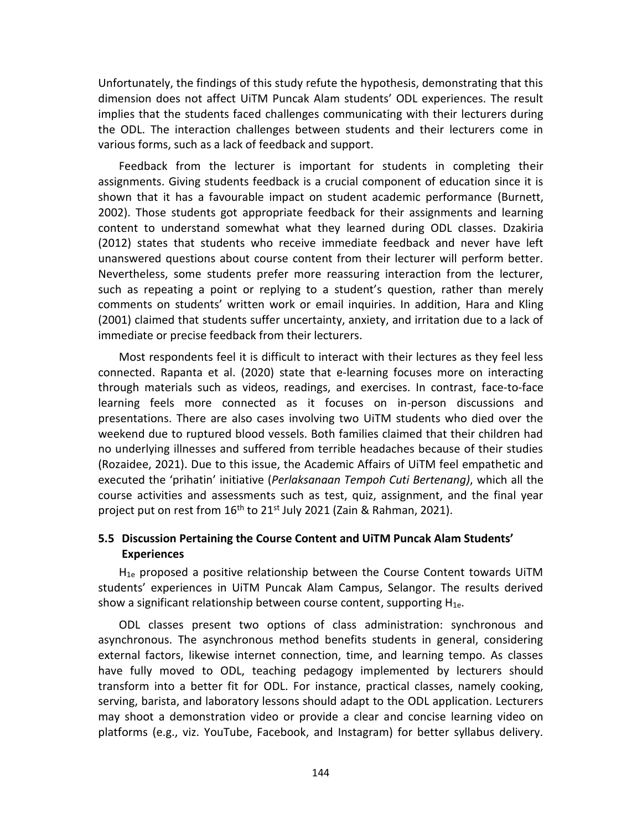Unfortunately, the findings of this study refute the hypothesis, demonstrating that this dimension does not affect UiTM Puncak Alam students' ODL experiences. The result implies that the students faced challenges communicating with their lecturers during the ODL. The interaction challenges between students and their lecturers come in various forms, such as a lack of feedback and support.

Feedback from the lecturer is important for students in completing their assignments. Giving students feedback is a crucial component of education since it is shown that it has a favourable impact on student academic performance (Burnett, 2002). Those students got appropriate feedback for their assignments and learning content to understand somewhat what they learned during ODL classes. Dzakiria (2012) states that students who receive immediate feedback and never have left unanswered questions about course content from their lecturer will perform better. Nevertheless, some students prefer more reassuring interaction from the lecturer, such as repeating a point or replying to a student's question, rather than merely comments on students' written work or email inquiries. In addition, Hara and Kling (2001) claimed that students suffer uncertainty, anxiety, and irritation due to a lack of immediate or precise feedback from their lecturers.

Most respondents feel it is difficult to interact with their lectures as they feel less connected. Rapanta et al. (2020) state that e-learning focuses more on interacting through materials such as videos, readings, and exercises. In contrast, face-to-face learning feels more connected as it focuses on in-person discussions and presentations. There are also cases involving two UiTM students who died over the weekend due to ruptured blood vessels. Both families claimed that their children had no underlying illnesses and suffered from terrible headaches because of their studies (Rozaidee, 2021). Due to this issue, the Academic Affairs of UiTM feel empathetic and executed the 'prihatin' initiative (*Perlaksanaan Tempoh Cuti Bertenang)*, which all the course activities and assessments such as test, quiz, assignment, and the final year project put on rest from  $16<sup>th</sup>$  to 21<sup>st</sup> July 2021 (Zain & Rahman, 2021).

# **5.5 Discussion Pertaining the Course Content and UiTM Puncak Alam Students' Experiences**

 $H_{1e}$  proposed a positive relationship between the Course Content towards UiTM students' experiences in UiTM Puncak Alam Campus, Selangor. The results derived show a significant relationship between course content, supporting  $H_{1e}$ .

ODL classes present two options of class administration: synchronous and asynchronous. The asynchronous method benefits students in general, considering external factors, likewise internet connection, time, and learning tempo. As classes have fully moved to ODL, teaching pedagogy implemented by lecturers should transform into a better fit for ODL. For instance, practical classes, namely cooking, serving, barista, and laboratory lessons should adapt to the ODL application. Lecturers may shoot a demonstration video or provide a clear and concise learning video on platforms (e.g., viz. YouTube, Facebook, and Instagram) for better syllabus delivery.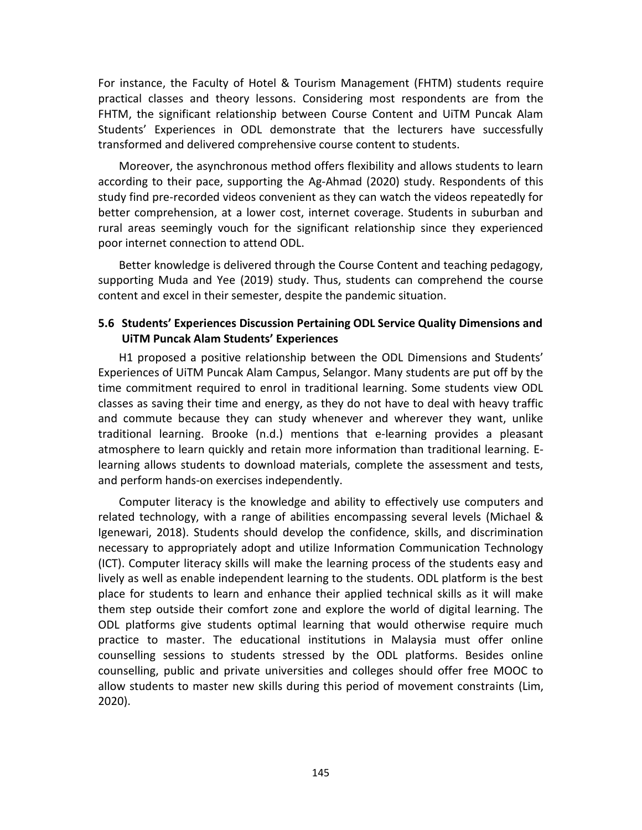For instance, the Faculty of Hotel & Tourism Management (FHTM) students require practical classes and theory lessons. Considering most respondents are from the FHTM, the significant relationship between Course Content and UiTM Puncak Alam Students' Experiences in ODL demonstrate that the lecturers have successfully transformed and delivered comprehensive course content to students.

Moreover, the asynchronous method offers flexibility and allows students to learn according to their pace, supporting the Ag-Ahmad (2020) study. Respondents of this study find pre-recorded videos convenient as they can watch the videos repeatedly for better comprehension, at a lower cost, internet coverage. Students in suburban and rural areas seemingly vouch for the significant relationship since they experienced poor internet connection to attend ODL.

Better knowledge is delivered through the Course Content and teaching pedagogy, supporting Muda and Yee (2019) study. Thus, students can comprehend the course content and excel in their semester, despite the pandemic situation.

## **5.6 Students' Experiences Discussion Pertaining ODL Service Quality Dimensions and UiTM Puncak Alam Students' Experiences**

H1 proposed a positive relationship between the ODL Dimensions and Students' Experiences of UiTM Puncak Alam Campus, Selangor. Many students are put off by the time commitment required to enrol in traditional learning. Some students view ODL classes as saving their time and energy, as they do not have to deal with heavy traffic and commute because they can study whenever and wherever they want, unlike traditional learning. Brooke (n.d.) mentions that e-learning provides a pleasant atmosphere to learn quickly and retain more information than traditional learning. Elearning allows students to download materials, complete the assessment and tests, and perform hands-on exercises independently.

Computer literacy is the knowledge and ability to effectively use computers and related technology, with a range of abilities encompassing several levels (Michael & Igenewari, 2018). Students should develop the confidence, skills, and discrimination necessary to appropriately adopt and utilize Information Communication Technology (ICT). Computer literacy skills will make the learning process of the students easy and lively as well as enable independent learning to the students. ODL platform is the best place for students to learn and enhance their applied technical skills as it will make them step outside their comfort zone and explore the world of digital learning. The ODL platforms give students optimal learning that would otherwise require much practice to master. The educational institutions in Malaysia must offer online counselling sessions to students stressed by the ODL platforms. Besides online counselling, public and private universities and colleges should offer free MOOC to allow students to master new skills during this period of movement constraints (Lim, 2020).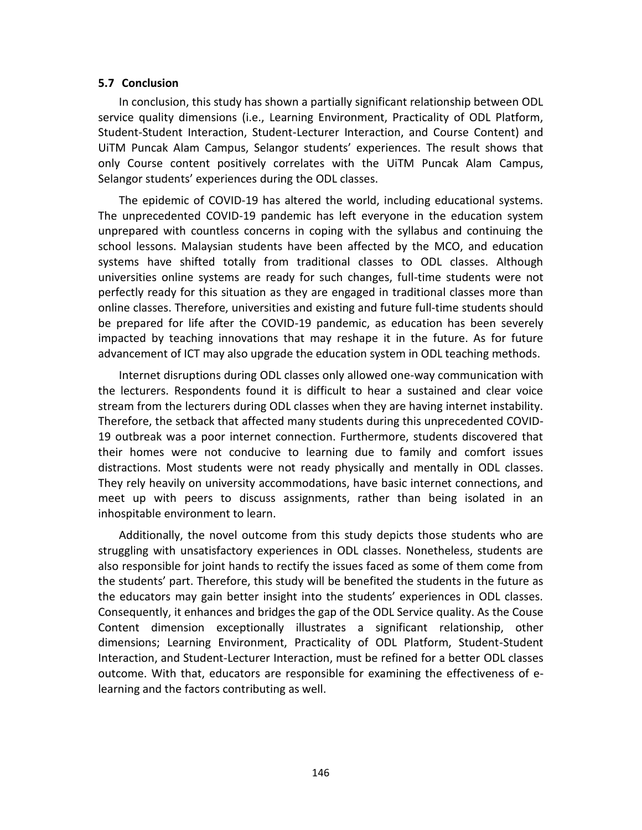#### **5.7 Conclusion**

In conclusion, this study has shown a partially significant relationship between ODL service quality dimensions (i.e., Learning Environment, Practicality of ODL Platform, Student-Student Interaction, Student-Lecturer Interaction, and Course Content) and UiTM Puncak Alam Campus, Selangor students' experiences. The result shows that only Course content positively correlates with the UiTM Puncak Alam Campus, Selangor students' experiences during the ODL classes.

The epidemic of COVID-19 has altered the world, including educational systems. The unprecedented COVID-19 pandemic has left everyone in the education system unprepared with countless concerns in coping with the syllabus and continuing the school lessons. Malaysian students have been affected by the MCO, and education systems have shifted totally from traditional classes to ODL classes. Although universities online systems are ready for such changes, full-time students were not perfectly ready for this situation as they are engaged in traditional classes more than online classes. Therefore, universities and existing and future full-time students should be prepared for life after the COVID-19 pandemic, as education has been severely impacted by teaching innovations that may reshape it in the future. As for future advancement of ICT may also upgrade the education system in ODL teaching methods.

Internet disruptions during ODL classes only allowed one-way communication with the lecturers. Respondents found it is difficult to hear a sustained and clear voice stream from the lecturers during ODL classes when they are having internet instability. Therefore, the setback that affected many students during this unprecedented COVID-19 outbreak was a poor internet connection. Furthermore, students discovered that their homes were not conducive to learning due to family and comfort issues distractions. Most students were not ready physically and mentally in ODL classes. They rely heavily on university accommodations, have basic internet connections, and meet up with peers to discuss assignments, rather than being isolated in an inhospitable environment to learn.

Additionally, the novel outcome from this study depicts those students who are struggling with unsatisfactory experiences in ODL classes. Nonetheless, students are also responsible for joint hands to rectify the issues faced as some of them come from the students' part. Therefore, this study will be benefited the students in the future as the educators may gain better insight into the students' experiences in ODL classes. Consequently, it enhances and bridges the gap of the ODL Service quality. As the Couse Content dimension exceptionally illustrates a significant relationship, other dimensions; Learning Environment, Practicality of ODL Platform, Student-Student Interaction, and Student-Lecturer Interaction, must be refined for a better ODL classes outcome. With that, educators are responsible for examining the effectiveness of elearning and the factors contributing as well.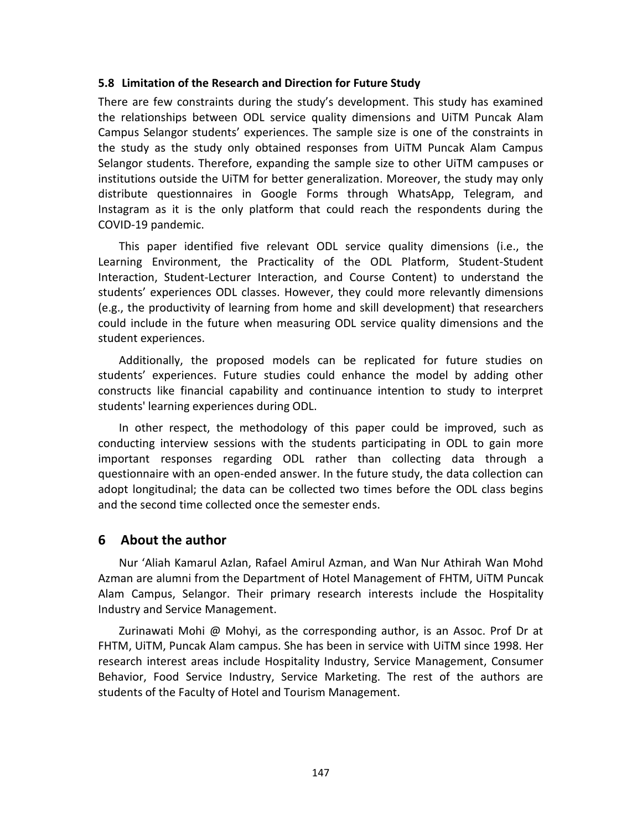## **5.8 Limitation of the Research and Direction for Future Study**

There are few constraints during the study's development. This study has examined the relationships between ODL service quality dimensions and UiTM Puncak Alam Campus Selangor students' experiences. The sample size is one of the constraints in the study as the study only obtained responses from UiTM Puncak Alam Campus Selangor students. Therefore, expanding the sample size to other UiTM campuses or institutions outside the UiTM for better generalization. Moreover, the study may only distribute questionnaires in Google Forms through WhatsApp, Telegram, and Instagram as it is the only platform that could reach the respondents during the COVID-19 pandemic.

This paper identified five relevant ODL service quality dimensions (i.e., the Learning Environment, the Practicality of the ODL Platform, Student-Student Interaction, Student-Lecturer Interaction, and Course Content) to understand the students' experiences ODL classes. However, they could more relevantly dimensions (e.g., the productivity of learning from home and skill development) that researchers could include in the future when measuring ODL service quality dimensions and the student experiences.

Additionally, the proposed models can be replicated for future studies on students' experiences. Future studies could enhance the model by adding other constructs like financial capability and continuance intention to study to interpret students' learning experiences during ODL.

In other respect, the methodology of this paper could be improved, such as conducting interview sessions with the students participating in ODL to gain more important responses regarding ODL rather than collecting data through a questionnaire with an open-ended answer. In the future study, the data collection can adopt longitudinal; the data can be collected two times before the ODL class begins and the second time collected once the semester ends.

# **6 About the author**

Nur 'Aliah Kamarul Azlan, Rafael Amirul Azman, and Wan Nur Athirah Wan Mohd Azman are alumni from the Department of Hotel Management of FHTM, UiTM Puncak Alam Campus, Selangor. Their primary research interests include the Hospitality Industry and Service Management.

Zurinawati Mohi @ Mohyi, as the corresponding author, is an Assoc. Prof Dr at FHTM, UiTM, Puncak Alam campus. She has been in service with UiTM since 1998. Her research interest areas include Hospitality Industry, Service Management, Consumer Behavior, Food Service Industry, Service Marketing. The rest of the authors are students of the Faculty of Hotel and Tourism Management.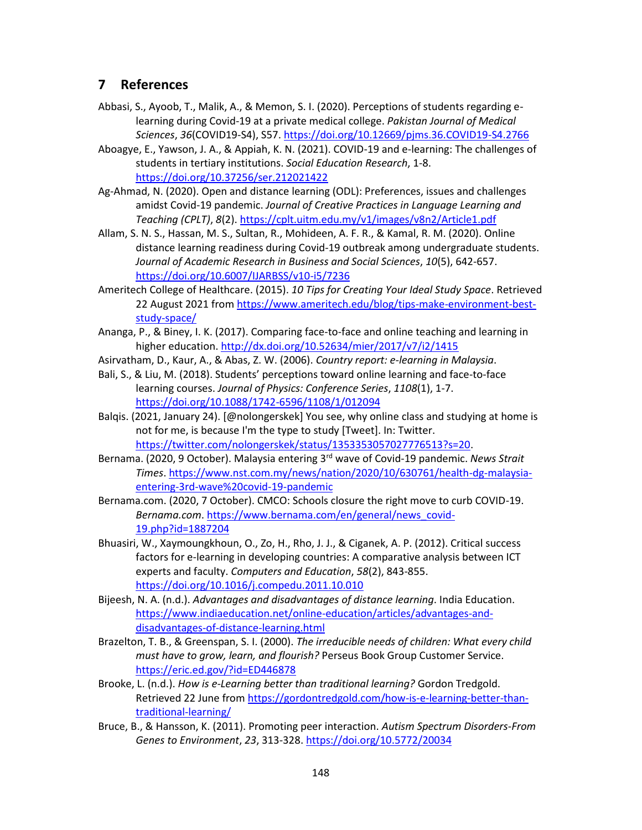# **7 References**

- Abbasi, S., Ayoob, T., Malik, A., & Memon, S. I. (2020). Perceptions of students regarding elearning during Covid-19 at a private medical college. *Pakistan Journal of Medical Sciences*, *36*(COVID19-S4), S57[. https://doi.org/10.12669/pjms.36.COVID19-S4.2766](https://doi.org/10.12669/pjms.36.COVID19-S4.2766)
- Aboagye, E., Yawson, J. A., & Appiah, K. N. (2021). COVID-19 and e-learning: The challenges of students in tertiary institutions. *Social Education Research*, 1-8. <https://doi.org/10.37256/ser.212021422>
- Ag-Ahmad, N. (2020). Open and distance learning (ODL): Preferences, issues and challenges amidst Covid-19 pandemic. *Journal of Creative Practices in Language Learning and Teaching (CPLT)*, *8*(2).<https://cplt.uitm.edu.my/v1/images/v8n2/Article1.pdf>
- Allam, S. N. S., Hassan, M. S., Sultan, R., Mohideen, A. F. R., & Kamal, R. M. (2020). Online distance learning readiness during Covid-19 outbreak among undergraduate students. *Journal of Academic Research in Business and Social Sciences*, *10*(5), 642-657. <https://doi.org/10.6007/IJARBSS/v10-i5/7236>
- Ameritech College of Healthcare. (2015). *10 Tips for Creating Your Ideal Study Space*. Retrieved 22 August 2021 from [https://www.ameritech.edu/blog/tips-make-environment-best](https://www.ameritech.edu/blog/tips-make-environment-best-study-space/)[study-space/](https://www.ameritech.edu/blog/tips-make-environment-best-study-space/)
- Ananga, P., & Biney, I. K. (2017). Comparing face-to-face and online teaching and learning in higher education[. http://dx.doi.org/10.52634/mier/2017/v7/i2/1415](http://dx.doi.org/10.52634/mier/2017/v7/i2/1415)
- Asirvatham, D., Kaur, A., & Abas, Z. W. (2006). *Country report: e-learning in Malaysia*.
- Bali, S., & Liu, M. (2018). Students' perceptions toward online learning and face-to-face learning courses. *Journal of Physics: Conference Series*, *1108*(1), 1-7. <https://doi.org/10.1088/1742-6596/1108/1/012094>
- Balqis. (2021, January 24). [@nolongerskek] You see, why online class and studying at home is not for me, is because I'm the type to study [Tweet]. In: Twitter. [https://twitter.com/nolongerskek/status/1353353057027776513?s=20.](https://twitter.com/nolongerskek/status/1353353057027776513?s=20)
- Bernama. (2020, 9 October). Malaysia entering 3rd wave of Covid-19 pandemic. *News Strait Times*. [https://www.nst.com.my/news/nation/2020/10/630761/health-dg-malaysia](https://www.nst.com.my/news/nation/2020/10/630761/health-dg-malaysia-entering-3rd-wave%20covid-19-pandemic)[entering-3rd-wave%20covid-19-pandemic](https://www.nst.com.my/news/nation/2020/10/630761/health-dg-malaysia-entering-3rd-wave%20covid-19-pandemic)
- Bernama.com. (2020, 7 October). CMCO: Schools closure the right move to curb COVID-19. *Bernama.com*. [https://www.bernama.com/en/general/news\\_covid-](https://www.bernama.com/en/general/news_covid-19.php?id=1887204)[19.php?id=1887204](https://www.bernama.com/en/general/news_covid-19.php?id=1887204)
- Bhuasiri, W., Xaymoungkhoun, O., Zo, H., Rho, J. J., & Ciganek, A. P. (2012). Critical success factors for e-learning in developing countries: A comparative analysis between ICT experts and faculty. *Computers and Education*, *58*(2), 843-855. <https://doi.org/10.1016/j.compedu.2011.10.010>
- Bijeesh, N. A. (n.d.). *Advantages and disadvantages of distance learning*. India Education. [https://www.indiaeducation.net/online-education/articles/advantages-and](https://www.indiaeducation.net/online-education/articles/advantages-and-disadvantages-of-distance-learning.html)[disadvantages-of-distance-learning.html](https://www.indiaeducation.net/online-education/articles/advantages-and-disadvantages-of-distance-learning.html)
- Brazelton, T. B., & Greenspan, S. I. (2000). *The irreducible needs of children: What every child must have to grow, learn, and flourish?* Perseus Book Group Customer Service. <https://eric.ed.gov/?id=ED446878>
- Brooke, L. (n.d.). *How is e-Learning better than traditional learning?* Gordon Tredgold. Retrieved 22 June from [https://gordontredgold.com/how-is-e-learning-better-than](https://gordontredgold.com/how-is-e-learning-better-than-traditional-learning/)[traditional-learning/](https://gordontredgold.com/how-is-e-learning-better-than-traditional-learning/)
- Bruce, B., & Hansson, K. (2011). Promoting peer interaction. *Autism Spectrum Disorders-From Genes to Environment*, *23*, 313-328.<https://doi.org/10.5772/20034>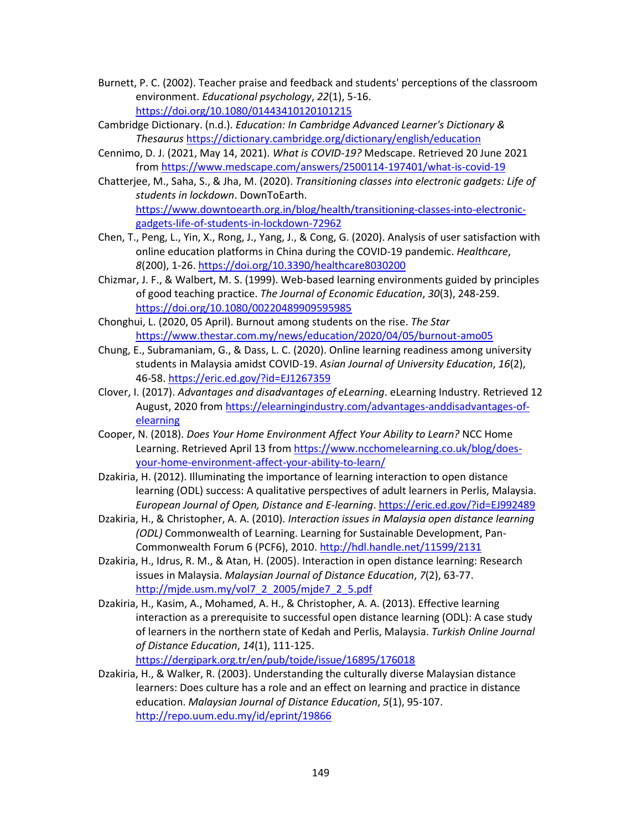- Burnett, P. C. (2002). Teacher praise and feedback and students' perceptions of the classroom environment. *Educational psychology*, *22*(1), 5-16. <https://doi.org/10.1080/01443410120101215>
- Cambridge Dictionary. (n.d.). *Education: In Cambridge Advanced Learner's Dictionary & Thesaurus* <https://dictionary.cambridge.org/dictionary/english/education>
- Cennimo, D. J. (2021, May 14, 2021). *What is COVID-19?* Medscape. Retrieved 20 June 2021 from<https://www.medscape.com/answers/2500114-197401/what-is-covid-19>
- Chatterjee, M., Saha, S., & Jha, M. (2020). *Transitioning classes into electronic gadgets: Life of students in lockdown*. DownToEarth. [https://www.downtoearth.org.in/blog/health/transitioning-classes-into-electronic](https://www.downtoearth.org.in/blog/health/transitioning-classes-into-electronic-gadgets-life-of-students-in-lockdown-72962)[gadgets-life-of-students-in-lockdown-72962](https://www.downtoearth.org.in/blog/health/transitioning-classes-into-electronic-gadgets-life-of-students-in-lockdown-72962)
- Chen, T., Peng, L., Yin, X., Rong, J., Yang, J., & Cong, G. (2020). Analysis of user satisfaction with online education platforms in China during the COVID-19 pandemic. *Healthcare*, *8*(200), 1-26.<https://doi.org/10.3390/healthcare8030200>
- Chizmar, J. F., & Walbert, M. S. (1999). Web-based learning environments guided by principles of good teaching practice. *The Journal of Economic Education*, *30*(3), 248-259. <https://doi.org/10.1080/00220489909595985>
- Chonghui, L. (2020, 05 April). Burnout among students on the rise. *The Star*  <https://www.thestar.com.my/news/education/2020/04/05/burnout-amo05>
- Chung, E., Subramaniam, G., & Dass, L. C. (2020). Online learning readiness among university students in Malaysia amidst COVID-19. *Asian Journal of University Education*, *16*(2), 46-58[. https://eric.ed.gov/?id=EJ1267359](https://eric.ed.gov/?id=EJ1267359)
- Clover, I. (2017). *Advantages and disadvantages of eLearning*. eLearning Industry. Retrieved 12 August, 2020 from [https://elearningindustry.com/advantages-anddisadvantages-of](https://elearningindustry.com/advantages-anddisadvantages-of-elearning)[elearning](https://elearningindustry.com/advantages-anddisadvantages-of-elearning)
- Cooper, N. (2018). *Does Your Home Environment Affect Your Ability to Learn?* NCC Home Learning. Retrieved April 13 from [https://www.ncchomelearning.co.uk/blog/does](https://www.ncchomelearning.co.uk/blog/does-your-home-environment-affect-your-ability-to-learn/)[your-home-environment-affect-your-ability-to-learn/](https://www.ncchomelearning.co.uk/blog/does-your-home-environment-affect-your-ability-to-learn/)
- Dzakiria, H. (2012). Illuminating the importance of learning interaction to open distance learning (ODL) success: A qualitative perspectives of adult learners in Perlis, Malaysia. *European Journal of Open, Distance and E-learning*. <https://eric.ed.gov/?id=EJ992489>
- Dzakiria, H., & Christopher, A. A. (2010). *Interaction issues in Malaysia open distance learning (ODL)* Commonwealth of Learning. Learning for Sustainable Development, Pan-Commonwealth Forum 6 (PCF6), 2010.<http://hdl.handle.net/11599/2131>
- Dzakiria, H., Idrus, R. M., & Atan, H. (2005). Interaction in open distance learning: Research issues in Malaysia. *Malaysian Journal of Distance Education*, *7*(2), 63-77. [http://mjde.usm.my/vol7\\_2\\_2005/mjde7\\_2\\_5.pdf](http://mjde.usm.my/vol7_2_2005/mjde7_2_5.pdf)
- Dzakiria, H., Kasim, A., Mohamed, A. H., & Christopher, A. A. (2013). Effective learning interaction as a prerequisite to successful open distance learning (ODL): A case study of learners in the northern state of Kedah and Perlis, Malaysia. *Turkish Online Journal of Distance Education*, *14*(1), 111-125.

<https://dergipark.org.tr/en/pub/tojde/issue/16895/176018>

Dzakiria, H., & Walker, R. (2003). Understanding the culturally diverse Malaysian distance learners: Does culture has a role and an effect on learning and practice in distance education. *Malaysian Journal of Distance Education*, *5*(1), 95-107. <http://repo.uum.edu.my/id/eprint/19866>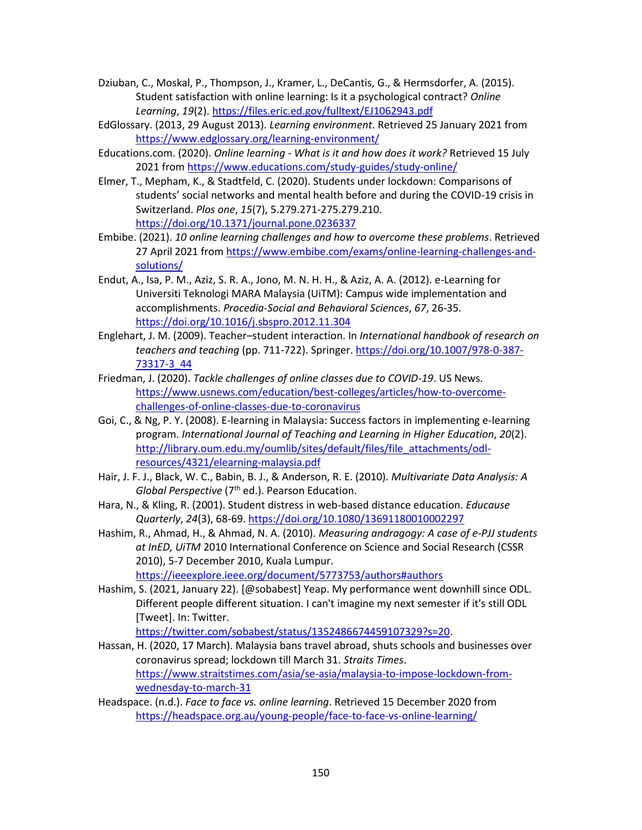- Dziuban, C., Moskal, P., Thompson, J., Kramer, L., DeCantis, G., & Hermsdorfer, A. (2015). Student satisfaction with online learning: Is it a psychological contract? *Online Learning*, *19*(2).<https://files.eric.ed.gov/fulltext/EJ1062943.pdf>
- EdGlossary. (2013, 29 August 2013). *Learning environment*. Retrieved 25 January 2021 from <https://www.edglossary.org/learning-environment/>
- Educations.com. (2020). *Online learning - What is it and how does it work?* Retrieved 15 July 2021 fro[m https://www.educations.com/study-guides/study-online/](https://www.educations.com/study-guides/study-online/)
- Elmer, T., Mepham, K., & Stadtfeld, C. (2020). Students under lockdown: Comparisons of students' social networks and mental health before and during the COVID-19 crisis in Switzerland. *Plos one*, *15*(7), 5.279.271-275.279.210. <https://doi.org/10.1371/journal.pone.0236337>
- Embibe. (2021). *10 online learning challenges and how to overcome these problems*. Retrieved 27 April 2021 from [https://www.embibe.com/exams/online-learning-challenges-and](https://www.embibe.com/exams/online-learning-challenges-and-solutions/)[solutions/](https://www.embibe.com/exams/online-learning-challenges-and-solutions/)
- Endut, A., Isa, P. M., Aziz, S. R. A., Jono, M. N. H. H., & Aziz, A. A. (2012). e-Learning for Universiti Teknologi MARA Malaysia (UiTM): Campus wide implementation and accomplishments. *Procedia-Social and Behavioral Sciences*, *67*, 26-35. <https://doi.org/10.1016/j.sbspro.2012.11.304>
- Englehart, J. M. (2009). Teacher–student interaction. In *International handbook of research on teachers and teaching* (pp. 711-722). Springer. [https://doi.org/10.1007/978-0-387-](https://doi.org/10.1007/978-0-387-73317-3_44) [73317-3\\_44](https://doi.org/10.1007/978-0-387-73317-3_44)
- Friedman, J. (2020). *Tackle challenges of online classes due to COVID-19*. US News. [https://www.usnews.com/education/best-colleges/articles/how-to-overcome](https://www.usnews.com/education/best-colleges/articles/how-to-overcome-challenges-of-online-classes-due-to-coronavirus)[challenges-of-online-classes-due-to-coronavirus](https://www.usnews.com/education/best-colleges/articles/how-to-overcome-challenges-of-online-classes-due-to-coronavirus)
- Goi, C., & Ng, P. Y. (2008). E-learning in Malaysia: Success factors in implementing e-learning program. *International Journal of Teaching and Learning in Higher Education*, *20*(2). [http://library.oum.edu.my/oumlib/sites/default/files/file\\_attachments/odl](http://library.oum.edu.my/oumlib/sites/default/files/file_attachments/odl-resources/4321/elearning-malaysia.pdf)[resources/4321/elearning-malaysia.pdf](http://library.oum.edu.my/oumlib/sites/default/files/file_attachments/odl-resources/4321/elearning-malaysia.pdf)
- Hair, J. F. J., Black, W. C., Babin, B. J., & Anderson, R. E. (2010). *Multivariate Data Analysis: A Global Perspective* (7th ed.). Pearson Education.
- Hara, N., & Kling, R. (2001). Student distress in web-based distance education. *Educause Quarterly*, *24*(3), 68-69.<https://doi.org/10.1080/13691180010002297>
- Hashim, R., Ahmad, H., & Ahmad, N. A. (2010). *Measuring andragogy: A case of e-PJJ students at InED, UiTM* 2010 International Conference on Science and Social Research (CSSR 2010), 5-7 December 2010, Kuala Lumpur.

<https://ieeexplore.ieee.org/document/5773753/authors#authors>

Hashim, S. (2021, January 22). [@sobabest] Yeap. My performance went downhill since ODL. Different people different situation. I can't imagine my next semester if it's still ODL [Tweet]. In: Twitter.

[https://twitter.com/sobabest/status/1352486674459107329?s=20.](https://twitter.com/sobabest/status/1352486674459107329?s=20)

- Hassan, H. (2020, 17 March). Malaysia bans travel abroad, shuts schools and businesses over coronavirus spread; lockdown till March 31. *Straits Times*. [https://www.straitstimes.com/asia/se-asia/malaysia-to-impose-lockdown-from](https://www.straitstimes.com/asia/se-asia/malaysia-to-impose-lockdown-from-wednesday-to-march-31)[wednesday-to-march-31](https://www.straitstimes.com/asia/se-asia/malaysia-to-impose-lockdown-from-wednesday-to-march-31)
- Headspace. (n.d.). *Face to face vs. online learning*. Retrieved 15 December 2020 from <https://headspace.org.au/young-people/face-to-face-vs-online-learning/>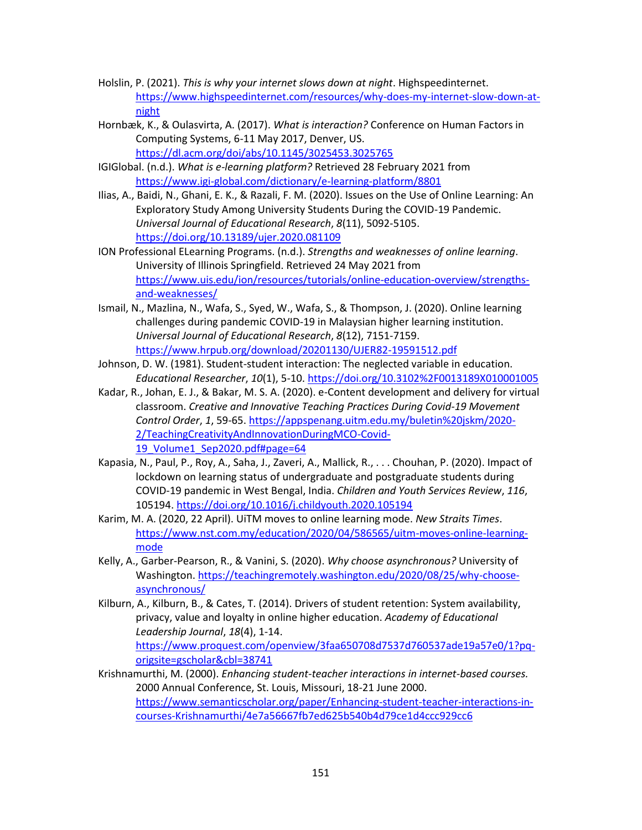- Holslin, P. (2021). *This is why your internet slows down at night*. Highspeedinternet. [https://www.highspeedinternet.com/resources/why-does-my-internet-slow-down-at](https://www.highspeedinternet.com/resources/why-does-my-internet-slow-down-at-night)[night](https://www.highspeedinternet.com/resources/why-does-my-internet-slow-down-at-night)
- Hornbæk, K., & Oulasvirta, A. (2017). *What is interaction?* Conference on Human Factors in Computing Systems, 6-11 May 2017, Denver, US. <https://dl.acm.org/doi/abs/10.1145/3025453.3025765>
- IGIGlobal. (n.d.). *What is e-learning platform?* Retrieved 28 February 2021 from <https://www.igi-global.com/dictionary/e-learning-platform/8801>
- Ilias, A., Baidi, N., Ghani, E. K., & Razali, F. M. (2020). Issues on the Use of Online Learning: An Exploratory Study Among University Students During the COVID-19 Pandemic. *Universal Journal of Educational Research*, *8*(11), 5092-5105. <https://doi.org/10.13189/ujer.2020.081109>
- ION Professional ELearning Programs. (n.d.). *Strengths and weaknesses of online learning*. University of Illinois Springfield. Retrieved 24 May 2021 from [https://www.uis.edu/ion/resources/tutorials/online-education-overview/strengths](https://www.uis.edu/ion/resources/tutorials/online-education-overview/strengths-and-weaknesses/)[and-weaknesses/](https://www.uis.edu/ion/resources/tutorials/online-education-overview/strengths-and-weaknesses/)
- Ismail, N., Mazlina, N., Wafa, S., Syed, W., Wafa, S., & Thompson, J. (2020). Online learning challenges during pandemic COVID-19 in Malaysian higher learning institution. *Universal Journal of Educational Research*, *8*(12), 7151-7159. <https://www.hrpub.org/download/20201130/UJER82-19591512.pdf>
- Johnson, D. W. (1981). Student-student interaction: The neglected variable in education. *Educational Researcher*, *10*(1), 5-10[. https://doi.org/10.3102%2F0013189X010001005](https://doi.org/10.3102%2F0013189X010001005)
- Kadar, R., Johan, E. J., & Bakar, M. S. A. (2020). e-Content development and delivery for virtual classroom. *Creative and Innovative Teaching Practices During Covid-19 Movement Control Order*, *1*, 59-65[. https://appspenang.uitm.edu.my/buletin%20jskm/2020-](https://appspenang.uitm.edu.my/buletin%20jskm/2020-2/TeachingCreativityAndInnovationDuringMCO-Covid-19_Volume1_Sep2020.pdf#page=64) [2/TeachingCreativityAndInnovationDuringMCO-Covid-](https://appspenang.uitm.edu.my/buletin%20jskm/2020-2/TeachingCreativityAndInnovationDuringMCO-Covid-19_Volume1_Sep2020.pdf#page=64)[19\\_Volume1\\_Sep2020.pdf#page=64](https://appspenang.uitm.edu.my/buletin%20jskm/2020-2/TeachingCreativityAndInnovationDuringMCO-Covid-19_Volume1_Sep2020.pdf#page=64)
- Kapasia, N., Paul, P., Roy, A., Saha, J., Zaveri, A., Mallick, R., . . . Chouhan, P. (2020). Impact of lockdown on learning status of undergraduate and postgraduate students during COVID-19 pandemic in West Bengal, India. *Children and Youth Services Review*, *116*, 105194.<https://doi.org/10.1016/j.childyouth.2020.105194>
- Karim, M. A. (2020, 22 April). UiTM moves to online learning mode. *New Straits Times*. [https://www.nst.com.my/education/2020/04/586565/uitm-moves-online-learning](https://www.nst.com.my/education/2020/04/586565/uitm-moves-online-learning-mode)[mode](https://www.nst.com.my/education/2020/04/586565/uitm-moves-online-learning-mode)
- Kelly, A., Garber-Pearson, R., & Vanini, S. (2020). *Why choose asynchronous?* University of Washington[. https://teachingremotely.washington.edu/2020/08/25/why-choose](https://teachingremotely.washington.edu/2020/08/25/why-choose-asynchronous/)[asynchronous/](https://teachingremotely.washington.edu/2020/08/25/why-choose-asynchronous/)
- Kilburn, A., Kilburn, B., & Cates, T. (2014). Drivers of student retention: System availability, privacy, value and loyalty in online higher education. *Academy of Educational Leadership Journal*, *18*(4), 1-14. [https://www.proquest.com/openview/3faa650708d7537d760537ade19a57e0/1?pq](https://www.proquest.com/openview/3faa650708d7537d760537ade19a57e0/1?pq-origsite=gscholar&cbl=38741)[origsite=gscholar&cbl=38741](https://www.proquest.com/openview/3faa650708d7537d760537ade19a57e0/1?pq-origsite=gscholar&cbl=38741)
- Krishnamurthi, M. (2000). *Enhancing student-teacher interactions in internet-based courses.* 2000 Annual Conference, St. Louis, Missouri, 18-21 June 2000. [https://www.semanticscholar.org/paper/Enhancing-student-teacher-interactions-in](https://www.semanticscholar.org/paper/Enhancing-student-teacher-interactions-in-courses-Krishnamurthi/4e7a56667fb7ed625b540b4d79ce1d4ccc929cc6)[courses-Krishnamurthi/4e7a56667fb7ed625b540b4d79ce1d4ccc929cc6](https://www.semanticscholar.org/paper/Enhancing-student-teacher-interactions-in-courses-Krishnamurthi/4e7a56667fb7ed625b540b4d79ce1d4ccc929cc6)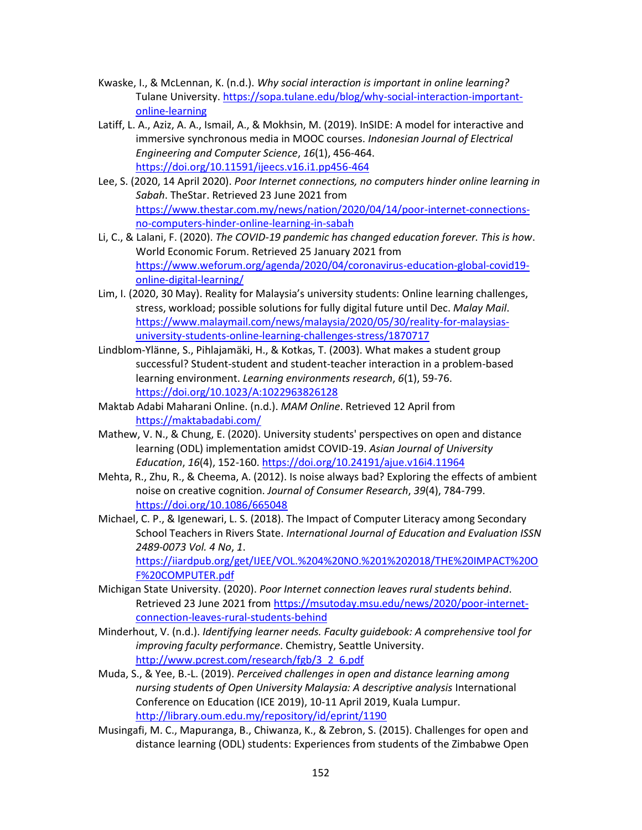- Kwaske, I., & McLennan, K. (n.d.). *Why social interaction is important in online learning?* Tulane University[. https://sopa.tulane.edu/blog/why-social-interaction-important](https://sopa.tulane.edu/blog/why-social-interaction-important-online-learning)[online-learning](https://sopa.tulane.edu/blog/why-social-interaction-important-online-learning)
- Latiff, L. A., Aziz, A. A., Ismail, A., & Mokhsin, M. (2019). InSIDE: A model for interactive and immersive synchronous media in MOOC courses. *Indonesian Journal of Electrical Engineering and Computer Science*, *16*(1), 456-464. <https://doi.org/10.11591/ijeecs.v16.i1.pp456-464>
- Lee, S. (2020, 14 April 2020). *Poor Internet connections, no computers hinder online learning in Sabah*. TheStar. Retrieved 23 June 2021 from [https://www.thestar.com.my/news/nation/2020/04/14/poor-internet-connections](https://www.thestar.com.my/news/nation/2020/04/14/poor-internet-connections-no-computers-hinder-online-learning-in-sabah)[no-computers-hinder-online-learning-in-sabah](https://www.thestar.com.my/news/nation/2020/04/14/poor-internet-connections-no-computers-hinder-online-learning-in-sabah)
- Li, C., & Lalani, F. (2020). *The COVID-19 pandemic has changed education forever. This is how*. World Economic Forum. Retrieved 25 January 2021 from [https://www.weforum.org/agenda/2020/04/coronavirus-education-global-covid19](https://www.weforum.org/agenda/2020/04/coronavirus-education-global-covid19-online-digital-learning/) [online-digital-learning/](https://www.weforum.org/agenda/2020/04/coronavirus-education-global-covid19-online-digital-learning/)
- Lim, I. (2020, 30 May). Reality for Malaysia's university students: Online learning challenges, stress, workload; possible solutions for fully digital future until Dec. *Malay Mail*. [https://www.malaymail.com/news/malaysia/2020/05/30/reality-for-malaysias](https://www.malaymail.com/news/malaysia/2020/05/30/reality-for-malaysias-university-students-online-learning-challenges-stress/1870717)[university-students-online-learning-challenges-stress/1870717](https://www.malaymail.com/news/malaysia/2020/05/30/reality-for-malaysias-university-students-online-learning-challenges-stress/1870717)
- Lindblom-Ylänne, S., Pihlajamäki, H., & Kotkas, T. (2003). What makes a student group successful? Student-student and student-teacher interaction in a problem-based learning environment. *Learning environments research*, *6*(1), 59-76. <https://doi.org/10.1023/A:1022963826128>
- Maktab Adabi Maharani Online. (n.d.). *MAM Online*. Retrieved 12 April from <https://maktabadabi.com/>
- Mathew, V. N., & Chung, E. (2020). University students' perspectives on open and distance learning (ODL) implementation amidst COVID-19. *Asian Journal of University Education*, *16*(4), 152-160.<https://doi.org/10.24191/ajue.v16i4.11964>
- Mehta, R., Zhu, R., & Cheema, A. (2012). Is noise always bad? Exploring the effects of ambient noise on creative cognition. *Journal of Consumer Research*, *39*(4), 784-799. <https://doi.org/10.1086/665048>
- Michael, C. P., & Igenewari, L. S. (2018). The Impact of Computer Literacy among Secondary School Teachers in Rivers State. *International Journal of Education and Evaluation ISSN 2489-0073 Vol. 4 No*, *1*.

[https://iiardpub.org/get/IJEE/VOL.%204%20NO.%201%202018/THE%20IMPACT%20O](https://iiardpub.org/get/IJEE/VOL.%204%20NO.%201%202018/THE%20IMPACT%20OF%20COMPUTER.pdf) [F%20COMPUTER.pdf](https://iiardpub.org/get/IJEE/VOL.%204%20NO.%201%202018/THE%20IMPACT%20OF%20COMPUTER.pdf)

- Michigan State University. (2020). *Poor Internet connection leaves rural students behind*. Retrieved 23 June 2021 from [https://msutoday.msu.edu/news/2020/poor-internet](https://msutoday.msu.edu/news/2020/poor-internet-connection-leaves-rural-students-behind)[connection-leaves-rural-students-behind](https://msutoday.msu.edu/news/2020/poor-internet-connection-leaves-rural-students-behind)
- Minderhout, V. (n.d.). *Identifying learner needs. Faculty guidebook: A comprehensive tool for improving faculty performance*. Chemistry, Seattle University. [http://www.pcrest.com/research/fgb/3\\_2\\_6.pdf](http://www.pcrest.com/research/fgb/3_2_6.pdf)
- Muda, S., & Yee, B.-L. (2019). *Perceived challenges in open and distance learning among nursing students of Open University Malaysia: A descriptive analysis* International Conference on Education (ICE 2019), 10-11 April 2019, Kuala Lumpur. <http://library.oum.edu.my/repository/id/eprint/1190>
- Musingafi, M. C., Mapuranga, B., Chiwanza, K., & Zebron, S. (2015). Challenges for open and distance learning (ODL) students: Experiences from students of the Zimbabwe Open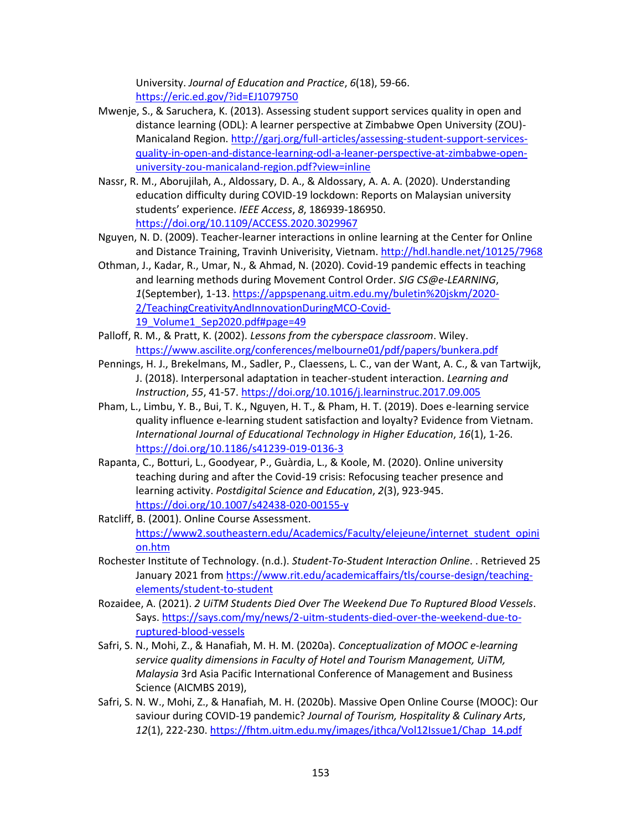University. *Journal of Education and Practice*, *6*(18), 59-66. <https://eric.ed.gov/?id=EJ1079750>

- Mwenje, S., & Saruchera, K. (2013). Assessing student support services quality in open and distance learning (ODL): A learner perspective at Zimbabwe Open University (ZOU)- Manicaland Region. [http://garj.org/full-articles/assessing-student-support-services](http://garj.org/full-articles/assessing-student-support-services-quality-in-open-and-distance-learning-odl-a-leaner-perspective-at-zimbabwe-open-university-zou-manicaland-region.pdf?view=inline)[quality-in-open-and-distance-learning-odl-a-leaner-perspective-at-zimbabwe-open](http://garj.org/full-articles/assessing-student-support-services-quality-in-open-and-distance-learning-odl-a-leaner-perspective-at-zimbabwe-open-university-zou-manicaland-region.pdf?view=inline)[university-zou-manicaland-region.pdf?view=inline](http://garj.org/full-articles/assessing-student-support-services-quality-in-open-and-distance-learning-odl-a-leaner-perspective-at-zimbabwe-open-university-zou-manicaland-region.pdf?view=inline)
- Nassr, R. M., Aborujilah, A., Aldossary, D. A., & Aldossary, A. A. A. (2020). Understanding education difficulty during COVID-19 lockdown: Reports on Malaysian university students' experience. *IEEE Access*, *8*, 186939-186950. <https://doi.org/10.1109/ACCESS.2020.3029967>
- Nguyen, N. D. (2009). Teacher-learner interactions in online learning at the Center for Online and Distance Training, Travinh Univerisity, Vietnam.<http://hdl.handle.net/10125/7968>
- Othman, J., Kadar, R., Umar, N., & Ahmad, N. (2020). Covid-19 pandemic effects in teaching and learning methods during Movement Control Order. *SIG CS@e-LEARNING*, *1*(September), 1-13. [https://appspenang.uitm.edu.my/buletin%20jskm/2020-](https://appspenang.uitm.edu.my/buletin%20jskm/2020-2/TeachingCreativityAndInnovationDuringMCO-Covid-19_Volume1_Sep2020.pdf#page=49) [2/TeachingCreativityAndInnovationDuringMCO-Covid-](https://appspenang.uitm.edu.my/buletin%20jskm/2020-2/TeachingCreativityAndInnovationDuringMCO-Covid-19_Volume1_Sep2020.pdf#page=49)19 Volume1 Sep2020.pdf#page=49
- Palloff, R. M., & Pratt, K. (2002). *Lessons from the cyberspace classroom*. Wiley. <https://www.ascilite.org/conferences/melbourne01/pdf/papers/bunkera.pdf>
- Pennings, H. J., Brekelmans, M., Sadler, P., Claessens, L. C., van der Want, A. C., & van Tartwijk, J. (2018). Interpersonal adaptation in teacher-student interaction. *Learning and Instruction*, *55*, 41-57.<https://doi.org/10.1016/j.learninstruc.2017.09.005>
- Pham, L., Limbu, Y. B., Bui, T. K., Nguyen, H. T., & Pham, H. T. (2019). Does e-learning service quality influence e-learning student satisfaction and loyalty? Evidence from Vietnam. *International Journal of Educational Technology in Higher Education*, *16*(1), 1-26. <https://doi.org/10.1186/s41239-019-0136-3>
- Rapanta, C., Botturi, L., Goodyear, P., Guàrdia, L., & Koole, M. (2020). Online university teaching during and after the Covid-19 crisis: Refocusing teacher presence and learning activity. *Postdigital Science and Education*, *2*(3), 923-945. <https://doi.org/10.1007/s42438-020-00155-y>
- Ratcliff, B. (2001). Online Course Assessment. [https://www2.southeastern.edu/Academics/Faculty/elejeune/internet\\_student\\_opini](https://www2.southeastern.edu/Academics/Faculty/elejeune/internet_student_opinion.htm) [on.htm](https://www2.southeastern.edu/Academics/Faculty/elejeune/internet_student_opinion.htm)
- Rochester Institute of Technology. (n.d.). *Student-To-Student Interaction Online*. . Retrieved 25 January 2021 fro[m https://www.rit.edu/academicaffairs/tls/course-design/teaching](https://www.rit.edu/academicaffairs/tls/course-design/teaching-elements/student-to-student)[elements/student-to-student](https://www.rit.edu/academicaffairs/tls/course-design/teaching-elements/student-to-student)
- Rozaidee, A. (2021). *2 UiTM Students Died Over The Weekend Due To Ruptured Blood Vessels*. Says[. https://says.com/my/news/2-uitm-students-died-over-the-weekend-due-to](https://says.com/my/news/2-uitm-students-died-over-the-weekend-due-to-ruptured-blood-vessels)[ruptured-blood-vessels](https://says.com/my/news/2-uitm-students-died-over-the-weekend-due-to-ruptured-blood-vessels)
- Safri, S. N., Mohi, Z., & Hanafiah, M. H. M. (2020a). *Conceptualization of MOOC e-learning service quality dimensions in Faculty of Hotel and Tourism Management, UiTM, Malaysia* 3rd Asia Pacific International Conference of Management and Business Science (AICMBS 2019),
- Safri, S. N. W., Mohi, Z., & Hanafiah, M. H. (2020b). Massive Open Online Course (MOOC): Our saviour during COVID-19 pandemic? *Journal of Tourism, Hospitality & Culinary Arts*, 12(1), 222-230. [https://fhtm.uitm.edu.my/images/jthca/Vol12Issue1/Chap\\_14.pdf](https://fhtm.uitm.edu.my/images/jthca/Vol12Issue1/Chap_14.pdf)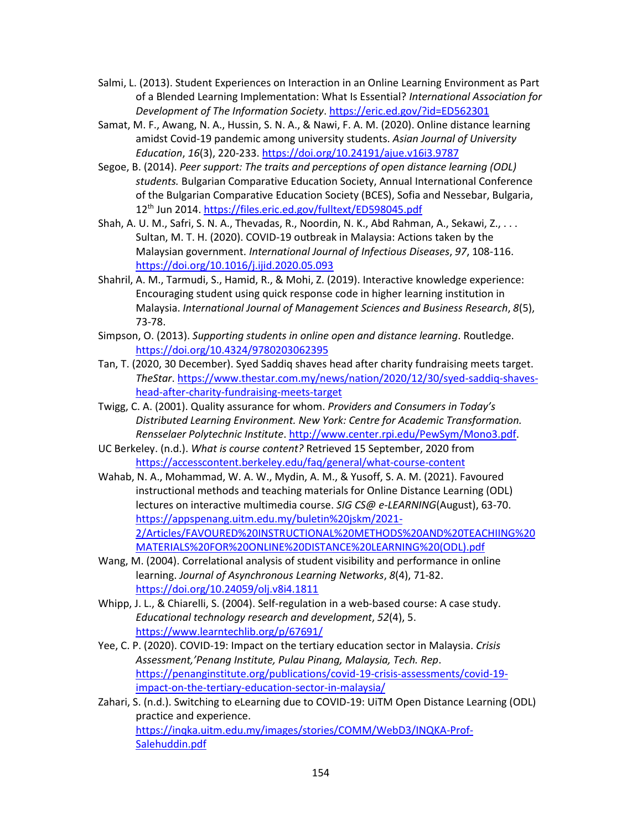- Salmi, L. (2013). Student Experiences on Interaction in an Online Learning Environment as Part of a Blended Learning Implementation: What Is Essential? *International Association for Development of The Information Society*.<https://eric.ed.gov/?id=ED562301>
- Samat, M. F., Awang, N. A., Hussin, S. N. A., & Nawi, F. A. M. (2020). Online distance learning amidst Covid-19 pandemic among university students. *Asian Journal of University Education*, *16*(3), 220-233.<https://doi.org/10.24191/ajue.v16i3.9787>
- Segoe, B. (2014). *Peer support: The traits and perceptions of open distance learning (ODL) students.* Bulgarian Comparative Education Society, Annual International Conference of the Bulgarian Comparative Education Society (BCES), Sofia and Nessebar, Bulgaria, 12th Jun 2014[. https://files.eric.ed.gov/fulltext/ED598045.pdf](https://files.eric.ed.gov/fulltext/ED598045.pdf)
- Shah, A. U. M., Safri, S. N. A., Thevadas, R., Noordin, N. K., Abd Rahman, A., Sekawi, Z., . . . Sultan, M. T. H. (2020). COVID-19 outbreak in Malaysia: Actions taken by the Malaysian government. *International Journal of Infectious Diseases*, *97*, 108-116. <https://doi.org/10.1016/j.ijid.2020.05.093>
- Shahril, A. M., Tarmudi, S., Hamid, R., & Mohi, Z. (2019). Interactive knowledge experience: Encouraging student using quick response code in higher learning institution in Malaysia. *International Journal of Management Sciences and Business Research*, *8*(5), 73-78.
- Simpson, O. (2013). *Supporting students in online open and distance learning*. Routledge. <https://doi.org/10.4324/9780203062395>
- Tan, T. (2020, 30 December). Syed Saddiq shaves head after charity fundraising meets target. *TheStar*. [https://www.thestar.com.my/news/nation/2020/12/30/syed-saddiq-shaves](https://www.thestar.com.my/news/nation/2020/12/30/syed-saddiq-shaves-head-after-charity-fundraising-meets-target)[head-after-charity-fundraising-meets-target](https://www.thestar.com.my/news/nation/2020/12/30/syed-saddiq-shaves-head-after-charity-fundraising-meets-target)
- Twigg, C. A. (2001). Quality assurance for whom. *Providers and Consumers in Today's Distributed Learning Environment. New York: Centre for Academic Transformation. Rensselaer Polytechnic Institute*[. http://www.center.rpi.edu/PewSym/Mono3.pdf.](http://www.center.rpi.edu/PewSym/Mono3.pdf)
- UC Berkeley. (n.d.). *What is course content?* Retrieved 15 September, 2020 from <https://accesscontent.berkeley.edu/faq/general/what-course-content>
- Wahab, N. A., Mohammad, W. A. W., Mydin, A. M., & Yusoff, S. A. M. (2021). Favoured instructional methods and teaching materials for Online Distance Learning (ODL) lectures on interactive multimedia course. *SIG CS@ e-LEARNING*(August), 63-70. [https://appspenang.uitm.edu.my/buletin%20jskm/2021-](https://appspenang.uitm.edu.my/buletin%20jskm/2021-2/Articles/FAVOURED%20INSTRUCTIONAL%20METHODS%20AND%20TEACHIING%20MATERIALS%20FOR%20ONLINE%20DISTANCE%20LEARNING%20(ODL).pdf) [2/Articles/FAVOURED%20INSTRUCTIONAL%20METHODS%20AND%20TEACHIING%20](https://appspenang.uitm.edu.my/buletin%20jskm/2021-2/Articles/FAVOURED%20INSTRUCTIONAL%20METHODS%20AND%20TEACHIING%20MATERIALS%20FOR%20ONLINE%20DISTANCE%20LEARNING%20(ODL).pdf) [MATERIALS%20FOR%20ONLINE%20DISTANCE%20LEARNING%20\(ODL\).pdf](https://appspenang.uitm.edu.my/buletin%20jskm/2021-2/Articles/FAVOURED%20INSTRUCTIONAL%20METHODS%20AND%20TEACHIING%20MATERIALS%20FOR%20ONLINE%20DISTANCE%20LEARNING%20(ODL).pdf)
- Wang, M. (2004). Correlational analysis of student visibility and performance in online learning. *Journal of Asynchronous Learning Networks*, *8*(4), 71-82. <https://doi.org/10.24059/olj.v8i4.1811>
- Whipp, J. L., & Chiarelli, S. (2004). Self-regulation in a web-based course: A case study. *Educational technology research and development*, *52*(4), 5. <https://www.learntechlib.org/p/67691/>
- Yee, C. P. (2020). COVID-19: Impact on the tertiary education sector in Malaysia. *Crisis Assessment,'Penang Institute, Pulau Pinang, Malaysia, Tech. Rep*. [https://penanginstitute.org/publications/covid-19-crisis-assessments/covid-19](https://penanginstitute.org/publications/covid-19-crisis-assessments/covid-19-impact-on-the-tertiary-education-sector-in-malaysia/) [impact-on-the-tertiary-education-sector-in-malaysia/](https://penanginstitute.org/publications/covid-19-crisis-assessments/covid-19-impact-on-the-tertiary-education-sector-in-malaysia/)
- Zahari, S. (n.d.). Switching to eLearning due to COVID-19: UiTM Open Distance Learning (ODL) practice and experience. [https://inqka.uitm.edu.my/images/stories/COMM/WebD3/INQKA-Prof-](https://inqka.uitm.edu.my/images/stories/COMM/WebD3/INQKA-Prof-Salehuddin.pdf)[Salehuddin.pdf](https://inqka.uitm.edu.my/images/stories/COMM/WebD3/INQKA-Prof-Salehuddin.pdf)